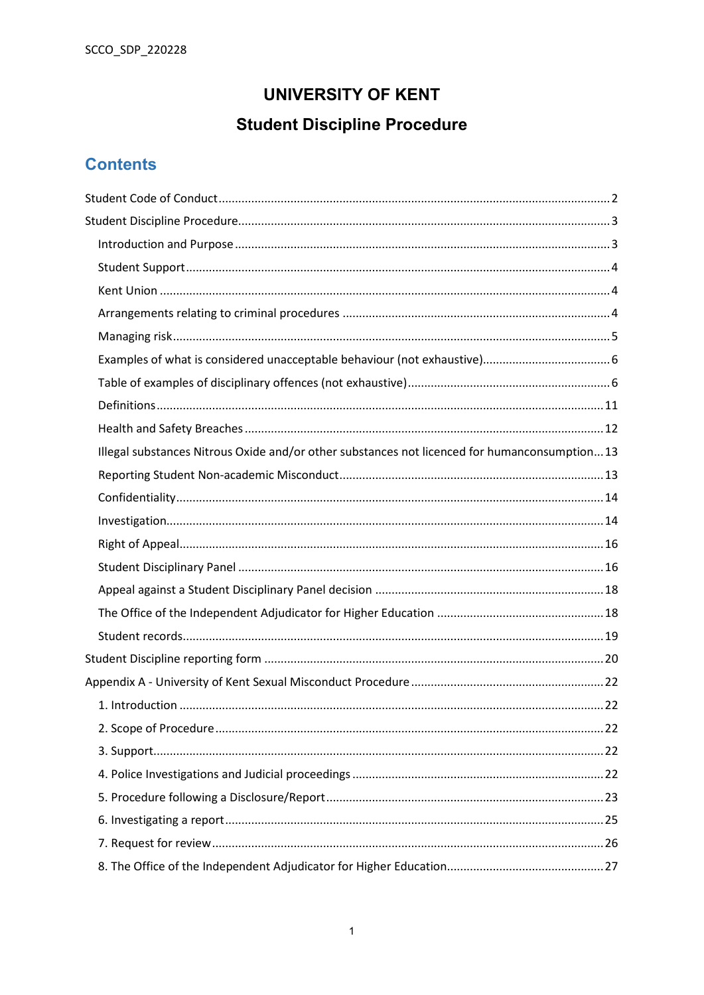# **UNIVERSITY OF KENT**

# **Student Discipline Procedure**

# **Contents**

| Illegal substances Nitrous Oxide and/or other substances not licenced for humanconsumption13 |  |
|----------------------------------------------------------------------------------------------|--|
|                                                                                              |  |
|                                                                                              |  |
|                                                                                              |  |
|                                                                                              |  |
|                                                                                              |  |
|                                                                                              |  |
|                                                                                              |  |
|                                                                                              |  |
|                                                                                              |  |
|                                                                                              |  |
|                                                                                              |  |
|                                                                                              |  |
|                                                                                              |  |
|                                                                                              |  |
|                                                                                              |  |
|                                                                                              |  |
|                                                                                              |  |
|                                                                                              |  |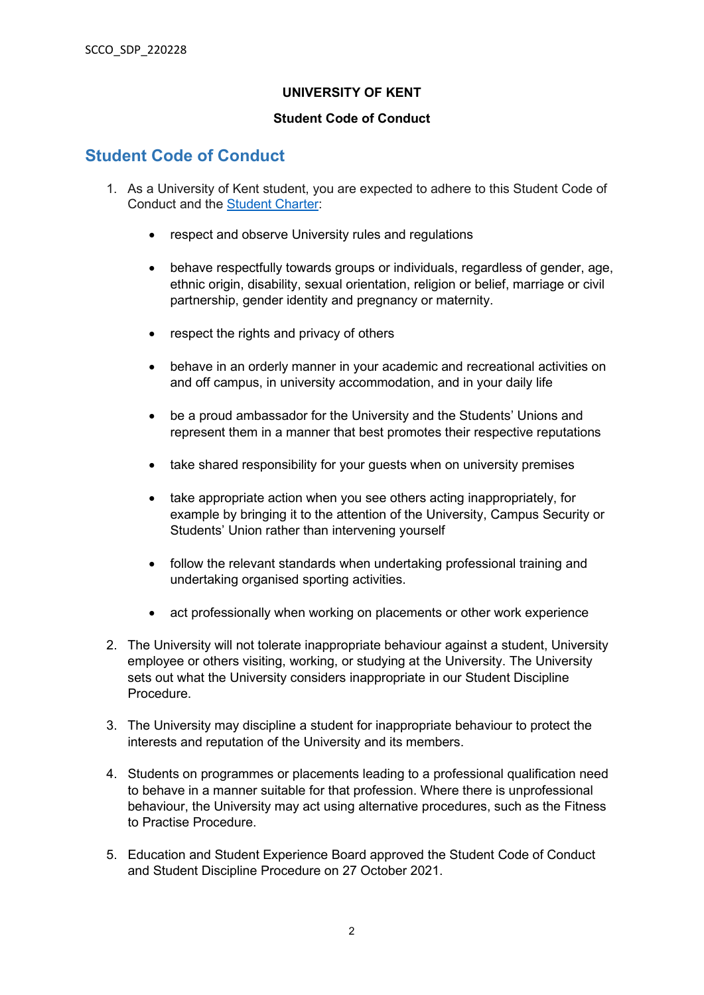#### **UNIVERSITY OF KENT**

#### **Student Code of Conduct**

# <span id="page-1-0"></span>**Student Code of Conduct**

- 1. As a University of Kent student, you are expected to adhere to this Student Code of Conduct and the [Student Charter:](https://www.kent.ac.uk/guides/student-charter)
	- respect and observe University rules and regulations
	- behave respectfully towards groups or individuals, regardless of gender, age, ethnic origin, disability, sexual orientation, religion or belief, marriage or civil partnership, gender identity and pregnancy or maternity.
	- respect the rights and privacy of others
	- behave in an orderly manner in your academic and recreational activities on and off campus, in university accommodation, and in your daily life
	- be a proud ambassador for the University and the Students' Unions and represent them in a manner that best promotes their respective reputations
	- take shared responsibility for your quests when on university premises
	- take appropriate action when you see others acting inappropriately, for example by bringing it to the attention of the University, Campus Security or Students' Union rather than intervening yourself
	- follow the relevant standards when undertaking professional training and undertaking organised sporting activities.
	- act professionally when working on placements or other work experience
- 2. The University will not tolerate inappropriate behaviour against a student, University employee or others visiting, working, or studying at the University. The University sets out what the University considers inappropriate in our Student Discipline Procedure.
- 3. The University may discipline a student for inappropriate behaviour to protect the interests and reputation of the University and its members.
- 4. Students on programmes or placements leading to a professional qualification need to behave in a manner suitable for that profession. Where there is unprofessional behaviour, the University may act using alternative procedures, such as the Fitness to Practise Procedure.
- 5. Education and Student Experience Board approved the Student Code of Conduct and Student Discipline Procedure on 27 October 2021.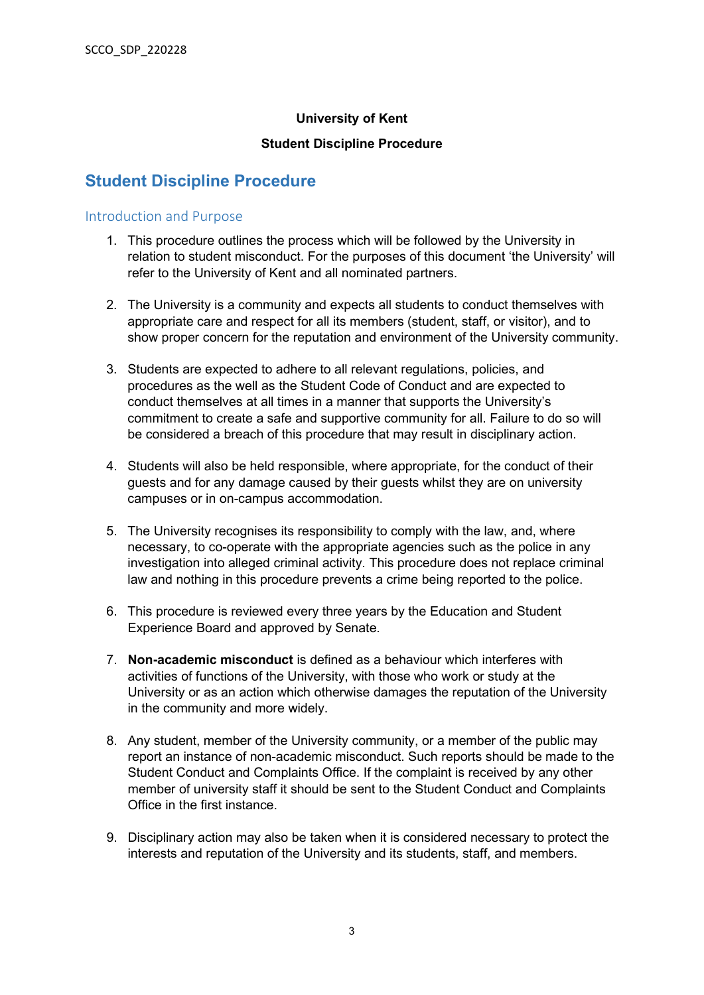### **University of Kent**

#### **Student Discipline Procedure**

# <span id="page-2-0"></span>**Student Discipline Procedure**

#### <span id="page-2-1"></span>Introduction and Purpose

- 1. This procedure outlines the process which will be followed by the University in relation to student misconduct. For the purposes of this document 'the University' will refer to the University of Kent and all nominated partners.
- 2. The University is a community and expects all students to conduct themselves with appropriate care and respect for all its members (student, staff, or visitor), and to show proper concern for the reputation and environment of the University community.
- 3. Students are expected to adhere to all relevant regulations, policies, and procedures as the well as the Student Code of Conduct and are expected to conduct themselves at all times in a manner that supports the University's commitment to create a safe and supportive community for all. Failure to do so will be considered a breach of this procedure that may result in disciplinary action.
- 4. Students will also be held responsible, where appropriate, for the conduct of their guests and for any damage caused by their guests whilst they are on university campuses or in on-campus accommodation.
- 5. The University recognises its responsibility to comply with the law, and, where necessary, to co-operate with the appropriate agencies such as the police in any investigation into alleged criminal activity. This procedure does not replace criminal law and nothing in this procedure prevents a crime being reported to the police.
- 6. This procedure is reviewed every three years by the Education and Student Experience Board and approved by Senate.
- 7. **Non-academic misconduct** is defined as a behaviour which interferes with activities of functions of the University, with those who work or study at the University or as an action which otherwise damages the reputation of the University in the community and more widely.
- 8. Any student, member of the University community, or a member of the public may report an instance of non-academic misconduct. Such reports should be made to the Student Conduct and Complaints Office. If the complaint is received by any other member of university staff it should be sent to the Student Conduct and Complaints Office in the first instance.
- 9. Disciplinary action may also be taken when it is considered necessary to protect the interests and reputation of the University and its students, staff, and members.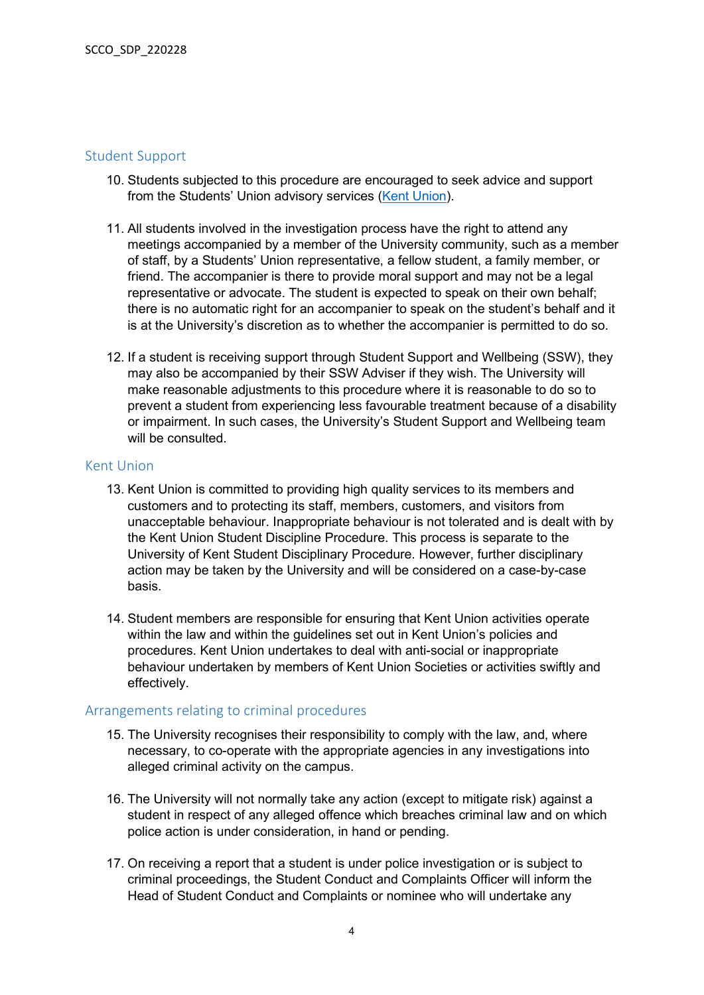#### <span id="page-3-0"></span>Student Support

- 10. Students subjected to this procedure are encouraged to seek advice and support from the Students' Union advisory services [\(Kent Union\)](http://www.kentunion.co.uk/welfare/advice).
- 11. All students involved in the investigation process have the right to attend any meetings accompanied by a member of the University community, such as a member of staff, by a Students' Union representative, a fellow student, a family member, or friend. The accompanier is there to provide moral support and may not be a legal representative or advocate. The student is expected to speak on their own behalf; there is no automatic right for an accompanier to speak on the student's behalf and it is at the University's discretion as to whether the accompanier is permitted to do so.
- 12. If a student is receiving support through Student Support and Wellbeing (SSW), they may also be accompanied by their SSW Adviser if they wish. The University will make reasonable adjustments to this procedure where it is reasonable to do so to prevent a student from experiencing less favourable treatment because of a disability or impairment. In such cases, the University's Student Support and Wellbeing team will be consulted.

#### <span id="page-3-1"></span>Kent Union

- 13. Kent Union is committed to providing high quality services to its members and customers and to protecting its staff, members, customers, and visitors from unacceptable behaviour. Inappropriate behaviour is not tolerated and is dealt with by the Kent Union Student Discipline Procedure. This process is separate to the University of Kent Student Disciplinary Procedure. However, further disciplinary action may be taken by the University and will be considered on a case-by-case basis.
- 14. Student members are responsible for ensuring that Kent Union activities operate within the law and within the guidelines set out in Kent Union's policies and procedures. Kent Union undertakes to deal with anti-social or inappropriate behaviour undertaken by members of Kent Union Societies or activities swiftly and effectively.

#### <span id="page-3-2"></span>Arrangements relating to criminal procedures

- 15. The University recognises their responsibility to comply with the law, and, where necessary, to co-operate with the appropriate agencies in any investigations into alleged criminal activity on the campus.
- 16. The University will not normally take any action (except to mitigate risk) against a student in respect of any alleged offence which breaches criminal law and on which police action is under consideration, in hand or pending.
- 17. On receiving a report that a student is under police investigation or is subject to criminal proceedings, the Student Conduct and Complaints Officer will inform the Head of Student Conduct and Complaints or nominee who will undertake any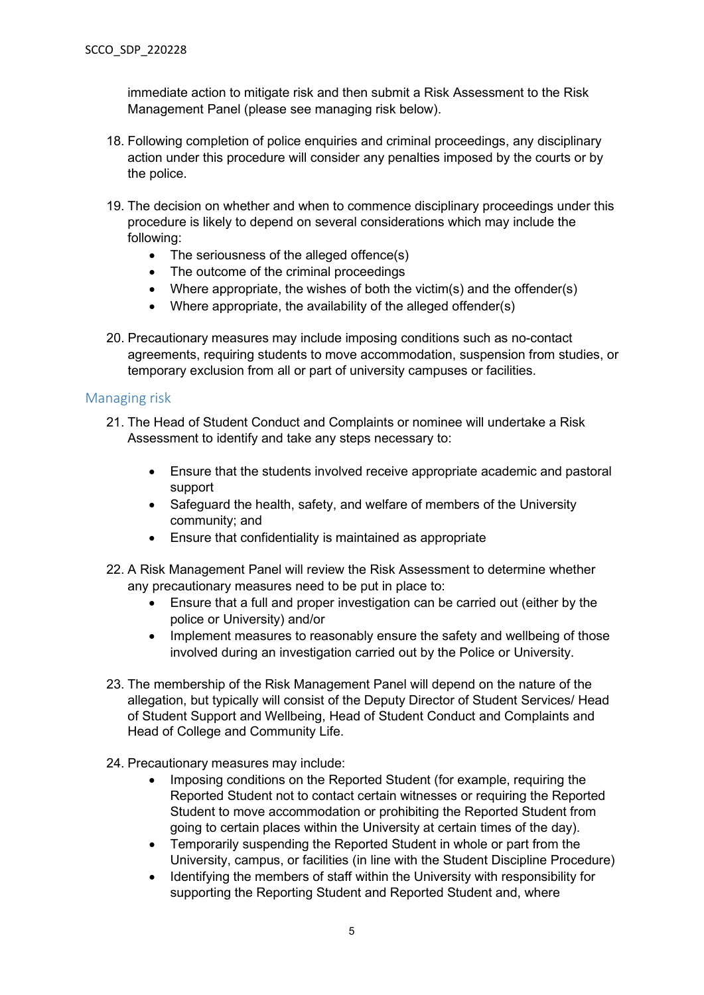immediate action to mitigate risk and then submit a Risk Assessment to the Risk Management Panel (please see managing risk below).

- 18. Following completion of police enquiries and criminal proceedings, any disciplinary action under this procedure will consider any penalties imposed by the courts or by the police.
- 19. The decision on whether and when to commence disciplinary proceedings under this procedure is likely to depend on several considerations which may include the following:
	- The seriousness of the alleged offence(s)
	- The outcome of the criminal proceedings
	- Where appropriate, the wishes of both the victim(s) and the offender(s)
	- Where appropriate, the availability of the alleged offender(s)
- 20. Precautionary measures may include imposing conditions such as no-contact agreements, requiring students to move accommodation, suspension from studies, or temporary exclusion from all or part of university campuses or facilities.

#### <span id="page-4-0"></span>Managing risk

- 21. The Head of Student Conduct and Complaints or nominee will undertake a Risk Assessment to identify and take any steps necessary to:
	- Ensure that the students involved receive appropriate academic and pastoral support
	- Safeguard the health, safety, and welfare of members of the University community; and
	- Ensure that confidentiality is maintained as appropriate
- 22. A Risk Management Panel will review the Risk Assessment to determine whether any precautionary measures need to be put in place to:
	- Ensure that a full and proper investigation can be carried out (either by the police or University) and/or
	- Implement measures to reasonably ensure the safety and wellbeing of those involved during an investigation carried out by the Police or University.
- 23. The membership of the Risk Management Panel will depend on the nature of the allegation, but typically will consist of the Deputy Director of Student Services/ Head of Student Support and Wellbeing, Head of Student Conduct and Complaints and Head of College and Community Life.
- 24. Precautionary measures may include:
	- Imposing conditions on the Reported Student (for example, requiring the Reported Student not to contact certain witnesses or requiring the Reported Student to move accommodation or prohibiting the Reported Student from going to certain places within the University at certain times of the day).
	- Temporarily suspending the Reported Student in whole or part from the University, campus, or facilities (in line with the Student Discipline Procedure)
	- Identifying the members of staff within the University with responsibility for supporting the Reporting Student and Reported Student and, where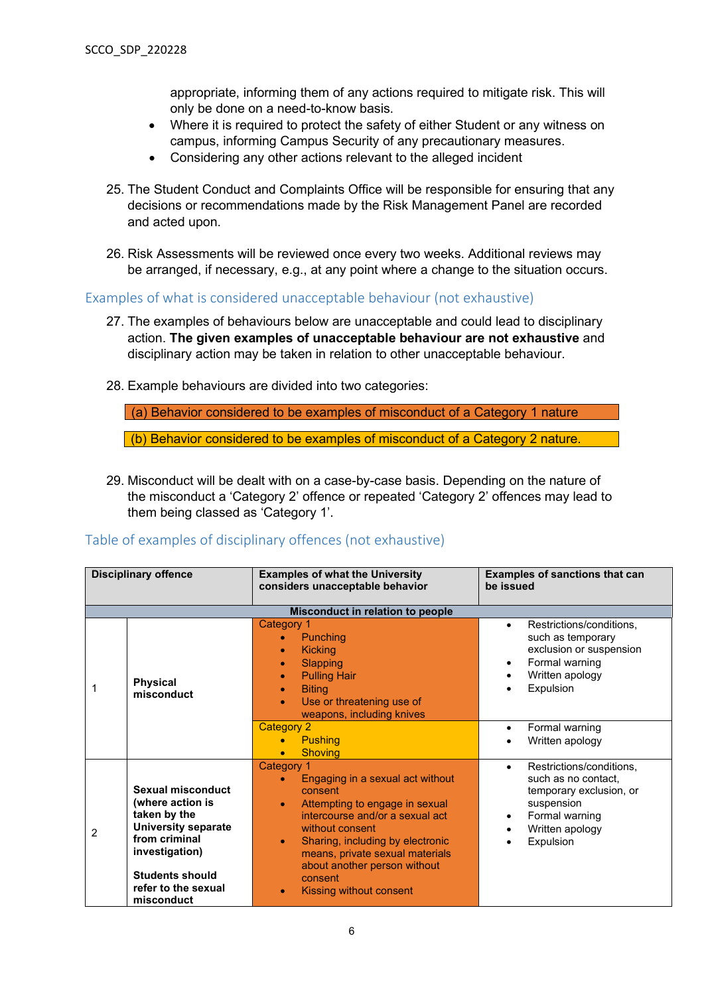appropriate, informing them of any actions required to mitigate risk. This will only be done on a need-to-know basis.

- Where it is required to protect the safety of either Student or any witness on campus, informing Campus Security of any precautionary measures.
- Considering any other actions relevant to the alleged incident
- 25. The Student Conduct and Complaints Office will be responsible for ensuring that any decisions or recommendations made by the Risk Management Panel are recorded and acted upon.
- 26. Risk Assessments will be reviewed once every two weeks. Additional reviews may be arranged, if necessary, e.g., at any point where a change to the situation occurs.

<span id="page-5-0"></span>Examples of what is considered unacceptable behaviour (not exhaustive)

- 27. The examples of behaviours below are unacceptable and could lead to disciplinary action. **The given examples of unacceptable behaviour are not exhaustive** and disciplinary action may be taken in relation to other unacceptable behaviour.
- 28. Example behaviours are divided into two categories:

(a) Behavior considered to be examples of misconduct of a Category 1 nature (b) Behavior considered to be examples of misconduct of a Category 2 nature.

29. Misconduct will be dealt with on a case-by-case basis. Depending on the nature of the misconduct a 'Category 2' offence or repeated 'Category 2' offences may lead to them being classed as 'Category 1'.

### <span id="page-5-1"></span>Table of examples of disciplinary offences (not exhaustive)

|               | <b>Disciplinary offence</b><br><b>Examples of what the University</b><br>considers unacceptable behavior<br>be issued                                                                 |                                                                                                                                                                                                                                                                                                                          | <b>Examples of sanctions that can</b>                                                                                                                   |
|---------------|---------------------------------------------------------------------------------------------------------------------------------------------------------------------------------------|--------------------------------------------------------------------------------------------------------------------------------------------------------------------------------------------------------------------------------------------------------------------------------------------------------------------------|---------------------------------------------------------------------------------------------------------------------------------------------------------|
|               |                                                                                                                                                                                       | Misconduct in relation to people                                                                                                                                                                                                                                                                                         |                                                                                                                                                         |
|               | <b>Physical</b><br>misconduct                                                                                                                                                         | Category 1<br>Punching<br><b>Kicking</b><br>$\bullet$<br>Slapping<br>$\bullet$<br><b>Pulling Hair</b><br>$\bullet$<br><b>Biting</b><br>$\bullet$<br>Use or threatening use of<br>weapons, including knives                                                                                                               | Restrictions/conditions,<br>$\bullet$<br>such as temporary<br>exclusion or suspension<br>Formal warning<br>Written apology<br>Expulsion                 |
|               |                                                                                                                                                                                       | <b>Category 2</b><br><b>Pushing</b><br><b>Shoving</b>                                                                                                                                                                                                                                                                    | Formal warning<br>Written apology                                                                                                                       |
| $\mathcal{P}$ | Sexual misconduct<br>(where action is<br>taken by the<br><b>University separate</b><br>from criminal<br>investigation)<br><b>Students should</b><br>refer to the sexual<br>misconduct | Category 1<br>Engaging in a sexual act without<br>consent<br>Attempting to engage in sexual<br>$\bullet$<br>intercourse and/or a sexual act<br>without consent<br>Sharing, including by electronic<br>$\bullet$<br>means, private sexual materials<br>about another person without<br>consent<br>Kissing without consent | Restrictions/conditions,<br>$\bullet$<br>such as no contact,<br>temporary exclusion, or<br>suspension<br>Formal warning<br>Written apology<br>Expulsion |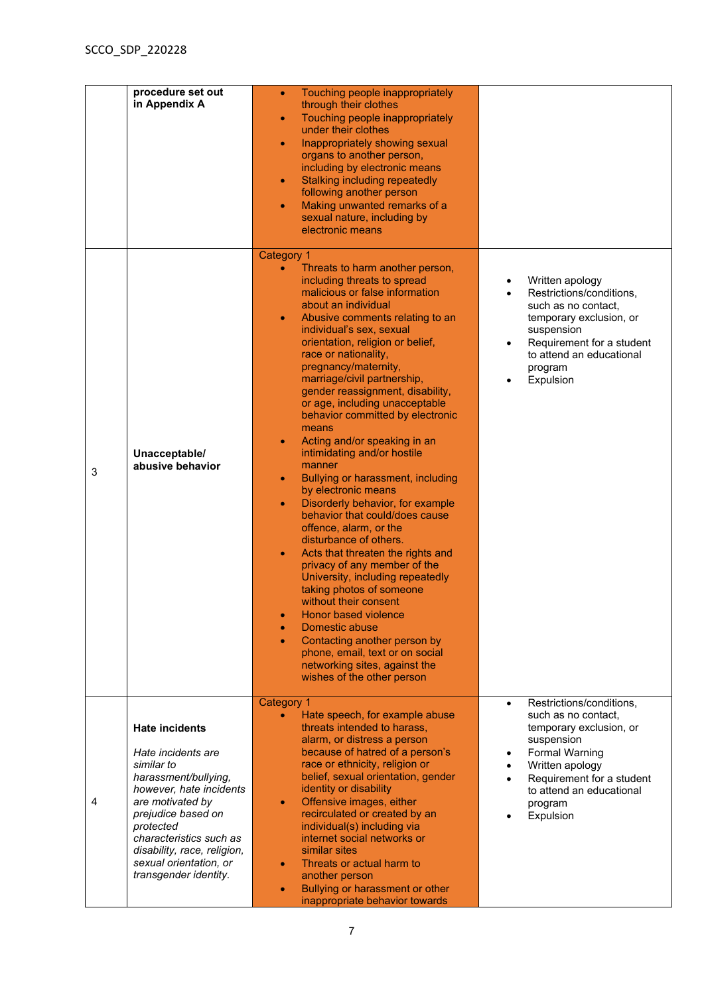|   | procedure set out<br>in Appendix A                                                                                                                                                                                                                                               | Touching people inappropriately<br>$\bullet$<br>through their clothes<br>Touching people inappropriately<br>$\bullet$<br>under their clothes<br>Inappropriately showing sexual<br>$\bullet$<br>organs to another person,<br>including by electronic means<br>Stalking including repeatedly<br>$\bullet$<br>following another person<br>Making unwanted remarks of a<br>$\bullet$<br>sexual nature, including by<br>electronic means                                                                                                                                                                                                                                                                                                                                                                                                                                                                                                                                                                                                                                                                                                                                       |                                                                                                                                                                                                                                    |
|---|----------------------------------------------------------------------------------------------------------------------------------------------------------------------------------------------------------------------------------------------------------------------------------|---------------------------------------------------------------------------------------------------------------------------------------------------------------------------------------------------------------------------------------------------------------------------------------------------------------------------------------------------------------------------------------------------------------------------------------------------------------------------------------------------------------------------------------------------------------------------------------------------------------------------------------------------------------------------------------------------------------------------------------------------------------------------------------------------------------------------------------------------------------------------------------------------------------------------------------------------------------------------------------------------------------------------------------------------------------------------------------------------------------------------------------------------------------------------|------------------------------------------------------------------------------------------------------------------------------------------------------------------------------------------------------------------------------------|
| 3 | Unacceptable/<br>abusive behavior                                                                                                                                                                                                                                                | <b>Category 1</b><br>Threats to harm another person,<br>including threats to spread<br>malicious or false information<br>about an individual<br>Abusive comments relating to an<br>$\bullet$<br>individual's sex, sexual<br>orientation, religion or belief,<br>race or nationality,<br>pregnancy/maternity,<br>marriage/civil partnership,<br>gender reassignment, disability,<br>or age, including unacceptable<br>behavior committed by electronic<br>means<br>Acting and/or speaking in an<br>$\bullet$<br>intimidating and/or hostile<br>manner<br>Bullying or harassment, including<br>$\bullet$<br>by electronic means<br>Disorderly behavior, for example<br>$\bullet$<br>behavior that could/does cause<br>offence, alarm, or the<br>disturbance of others.<br>Acts that threaten the rights and<br>$\bullet$<br>privacy of any member of the<br>University, including repeatedly<br>taking photos of someone<br>without their consent<br><b>Honor based violence</b><br>$\bullet$<br>Domestic abuse<br>$\bullet$<br>Contacting another person by<br>$\bullet$<br>phone, email, text or on social<br>networking sites, against the<br>wishes of the other person | Written apology<br>Restrictions/conditions,<br>such as no contact,<br>temporary exclusion, or<br>suspension<br>Requirement for a student<br>to attend an educational<br>program<br>Expulsion                                       |
| 4 | <b>Hate incidents</b><br>Hate incidents are<br>similar to<br>harassment/bullying,<br>however, hate incidents<br>are motivated by<br>prejudice based on<br>protected<br>characteristics such as<br>disability, race, religion,<br>sexual orientation, or<br>transgender identity. | Category 1<br>Hate speech, for example abuse<br>threats intended to harass,<br>alarm, or distress a person<br>because of hatred of a person's<br>race or ethnicity, religion or<br>belief, sexual orientation, gender<br>identity or disability<br>Offensive images, either<br>$\bullet$<br>recirculated or created by an<br>individual(s) including via<br>internet social networks or<br>similar sites<br>Threats or actual harm to<br>$\bullet$<br>another person<br>Bullying or harassment or other<br>$\bullet$<br>inappropriate behavior towards                                                                                                                                                                                                                                                                                                                                                                                                                                                                                                                                                                                                                    | Restrictions/conditions,<br>$\bullet$<br>such as no contact,<br>temporary exclusion, or<br>suspension<br><b>Formal Warning</b><br>Written apology<br>Requirement for a student<br>to attend an educational<br>program<br>Expulsion |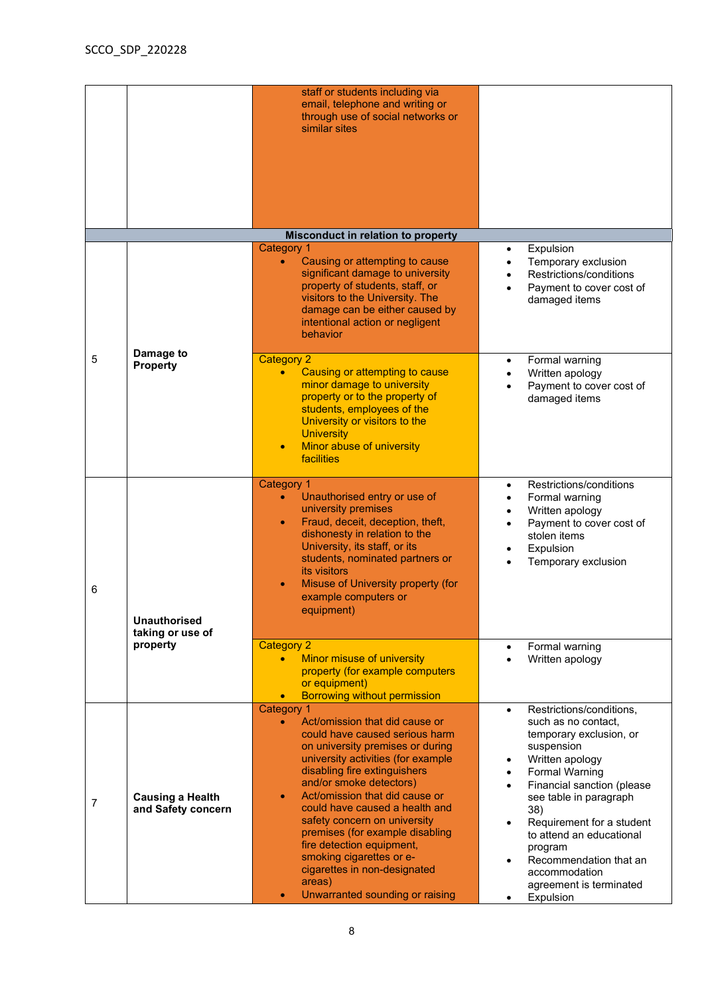|                |                                               | staff or students including via<br>email, telephone and writing or<br>through use of social networks or<br>similar sites                                                                                                                                                                                                                                                                                                                                                                                                                       |                                                                                                                                                                                                                                                                                                                                                                         |
|----------------|-----------------------------------------------|------------------------------------------------------------------------------------------------------------------------------------------------------------------------------------------------------------------------------------------------------------------------------------------------------------------------------------------------------------------------------------------------------------------------------------------------------------------------------------------------------------------------------------------------|-------------------------------------------------------------------------------------------------------------------------------------------------------------------------------------------------------------------------------------------------------------------------------------------------------------------------------------------------------------------------|
|                |                                               | Misconduct in relation to property<br><b>Category 1</b>                                                                                                                                                                                                                                                                                                                                                                                                                                                                                        | Expulsion                                                                                                                                                                                                                                                                                                                                                               |
|                |                                               | Causing or attempting to cause<br>$\bullet$<br>significant damage to university<br>property of students, staff, or<br>visitors to the University. The<br>damage can be either caused by<br>intentional action or negligent<br>behavior                                                                                                                                                                                                                                                                                                         | Temporary exclusion<br>Restrictions/conditions<br>Payment to cover cost of<br>damaged items                                                                                                                                                                                                                                                                             |
| 5              | Damage to<br><b>Property</b>                  | <b>Category 2</b><br>Causing or attempting to cause<br>$\bullet$<br>minor damage to university<br>property or to the property of<br>students, employees of the<br>University or visitors to the<br><b>University</b><br>Minor abuse of university<br>$\bullet$<br>facilities                                                                                                                                                                                                                                                                   | Formal warning<br>$\bullet$<br>Written apology<br>Payment to cover cost of<br>damaged items                                                                                                                                                                                                                                                                             |
| 6              | <b>Unauthorised</b>                           | Category 1<br>Unauthorised entry or use of<br>university premises<br>Fraud, deceit, deception, theft,<br>$\bullet$<br>dishonesty in relation to the<br>University, its staff, or its<br>students, nominated partners or<br>its visitors<br>Misuse of University property (for<br>example computers or<br>equipment)                                                                                                                                                                                                                            | Restrictions/conditions<br>Formal warning<br>Written apology<br>Payment to cover cost of<br>stolen items<br>Expulsion<br>Temporary exclusion                                                                                                                                                                                                                            |
|                | taking or use of<br>property                  | <b>Category 2</b><br>Minor misuse of university<br>$\bullet$<br>property (for example computers<br>or equipment)<br><b>Borrowing without permission</b>                                                                                                                                                                                                                                                                                                                                                                                        | Formal warning<br>Written apology                                                                                                                                                                                                                                                                                                                                       |
| $\overline{7}$ | <b>Causing a Health</b><br>and Safety concern | <b>Category 1</b><br>Act/omission that did cause or<br>$\bullet$<br>could have caused serious harm<br>on university premises or during<br>university activities (for example<br>disabling fire extinguishers<br>and/or smoke detectors)<br>Act/omission that did cause or<br>$\bullet$<br>could have caused a health and<br>safety concern on university<br>premises (for example disabling<br>fire detection equipment,<br>smoking cigarettes or e-<br>cigarettes in non-designated<br>areas)<br>Unwarranted sounding or raising<br>$\bullet$ | Restrictions/conditions,<br>$\bullet$<br>such as no contact,<br>temporary exclusion, or<br>suspension<br>Written apology<br><b>Formal Warning</b><br>Financial sanction (please<br>see table in paragraph<br>38)<br>Requirement for a student<br>to attend an educational<br>program<br>Recommendation that an<br>accommodation<br>agreement is terminated<br>Expulsion |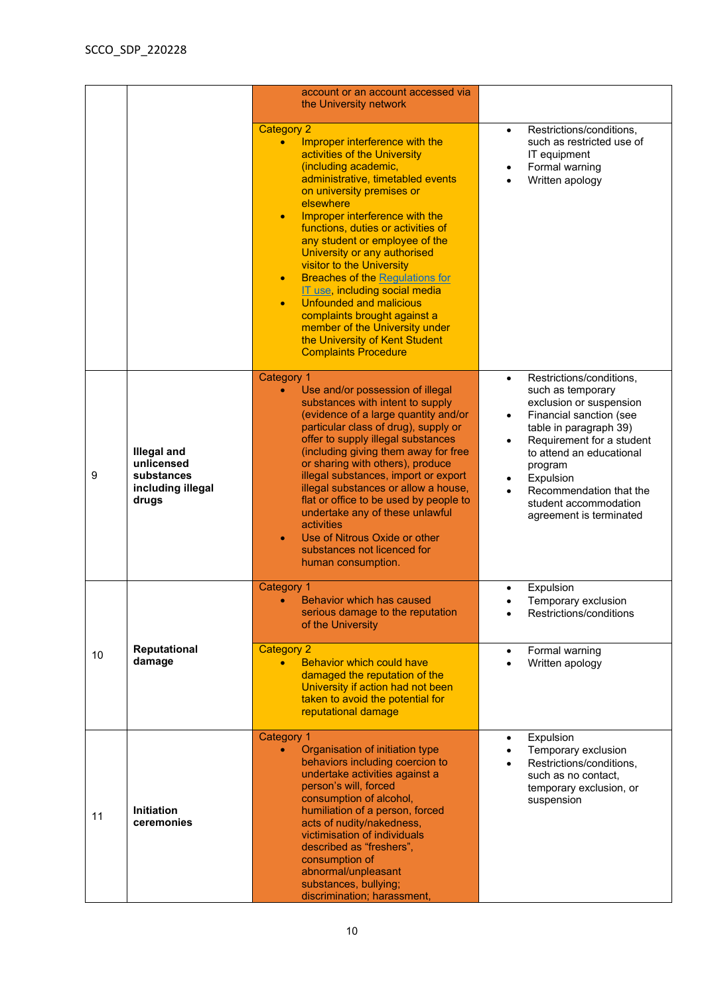|    |                                                                              | account or an account accessed via<br>the University network                                                                                                                                                                                                                                                                                                                                                                                                                                                                                                                                                                                                           |                                                                                                                                                                                                                                                                                                                         |
|----|------------------------------------------------------------------------------|------------------------------------------------------------------------------------------------------------------------------------------------------------------------------------------------------------------------------------------------------------------------------------------------------------------------------------------------------------------------------------------------------------------------------------------------------------------------------------------------------------------------------------------------------------------------------------------------------------------------------------------------------------------------|-------------------------------------------------------------------------------------------------------------------------------------------------------------------------------------------------------------------------------------------------------------------------------------------------------------------------|
|    |                                                                              | <b>Category 2</b><br>Improper interference with the<br>$\bullet$<br>activities of the University<br>(including academic,<br>administrative, timetabled events<br>on university premises or<br>elsewhere<br>Improper interference with the<br>$\bullet$<br>functions, duties or activities of<br>any student or employee of the<br>University or any authorised<br>visitor to the University<br><b>Breaches of the Regulations for</b><br>$\bullet$<br>IT use, including social media<br><b>Unfounded and malicious</b><br>$\bullet$<br>complaints brought against a<br>member of the University under<br>the University of Kent Student<br><b>Complaints Procedure</b> | Restrictions/conditions,<br>$\bullet$<br>such as restricted use of<br>IT equipment<br>Formal warning<br>Written apology                                                                                                                                                                                                 |
| 9  | <b>Illegal and</b><br>unlicensed<br>substances<br>including illegal<br>drugs | <b>Category 1</b><br>Use and/or possession of illegal<br>$\bullet$<br>substances with intent to supply<br>(evidence of a large quantity and/or<br>particular class of drug), supply or<br>offer to supply illegal substances<br>(including giving them away for free<br>or sharing with others), produce<br>illegal substances, import or export<br>illegal substances or allow a house,<br>flat or office to be used by people to<br>undertake any of these unlawful<br>activities<br>Use of Nitrous Oxide or other<br>$\bullet$<br>substances not licenced for<br>human consumption.                                                                                 | Restrictions/conditions,<br>$\bullet$<br>such as temporary<br>exclusion or suspension<br>Financial sanction (see<br>$\bullet$<br>table in paragraph 39)<br>Requirement for a student<br>to attend an educational<br>program<br>Expulsion<br>Recommendation that the<br>student accommodation<br>agreement is terminated |
| 10 | <b>Reputational</b>                                                          | <b>Category 1</b><br>Behavior which has caused<br>serious damage to the reputation<br>of the University<br><b>Category 2</b>                                                                                                                                                                                                                                                                                                                                                                                                                                                                                                                                           | Expulsion<br>Temporary exclusion<br>Restrictions/conditions<br>Formal warning<br>$\bullet$                                                                                                                                                                                                                              |
|    | damage                                                                       | <b>Behavior which could have</b><br>$\bullet$<br>damaged the reputation of the<br>University if action had not been<br>taken to avoid the potential for<br>reputational damage                                                                                                                                                                                                                                                                                                                                                                                                                                                                                         | Written apology                                                                                                                                                                                                                                                                                                         |
| 11 | <b>Initiation</b><br>ceremonies                                              | <b>Category 1</b><br>Organisation of initiation type<br>$\bullet$<br>behaviors including coercion to<br>undertake activities against a<br>person's will, forced<br>consumption of alcohol,<br>humiliation of a person, forced<br>acts of nudity/nakedness,<br>victimisation of individuals<br>described as "freshers",<br>consumption of<br>abnormal/unpleasant<br>substances, bullying;<br>discrimination; harassment,                                                                                                                                                                                                                                                | Expulsion<br>Temporary exclusion<br>Restrictions/conditions,<br>such as no contact,<br>temporary exclusion, or<br>suspension                                                                                                                                                                                            |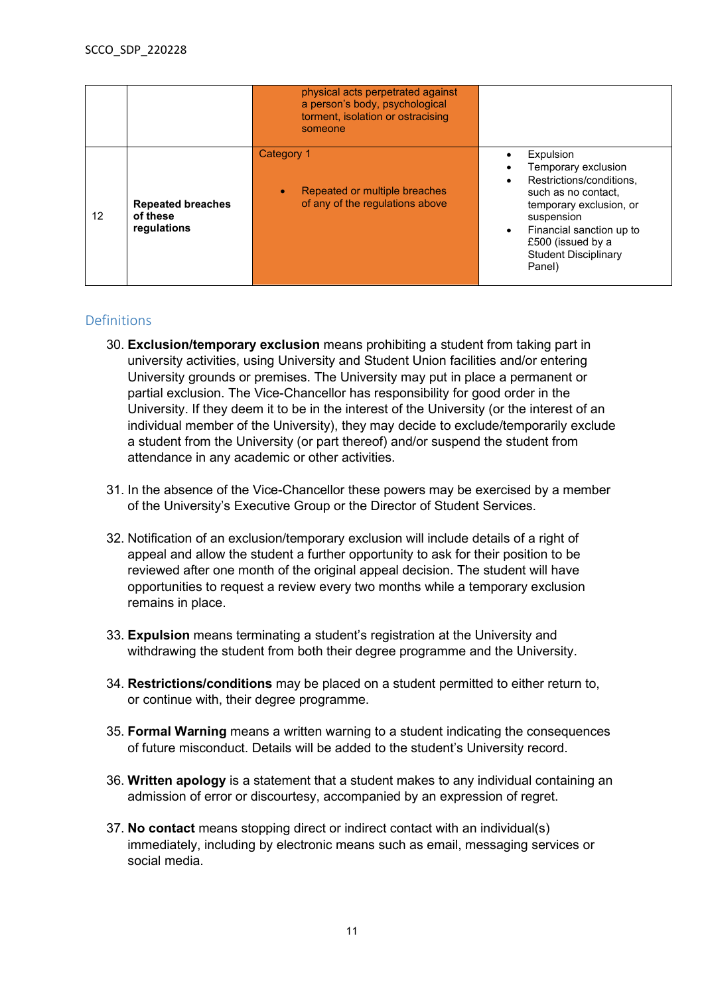|    |                                                     | physical acts perpetrated against<br>a person's body, psychological<br>torment, isolation or ostracising<br>someone |                                                                                                                                                                                                                        |
|----|-----------------------------------------------------|---------------------------------------------------------------------------------------------------------------------|------------------------------------------------------------------------------------------------------------------------------------------------------------------------------------------------------------------------|
| 12 | <b>Repeated breaches</b><br>of these<br>regulations | Category 1<br>Repeated or multiple breaches<br>of any of the regulations above                                      | Expulsion<br>Temporary exclusion<br>Restrictions/conditions,<br>such as no contact,<br>temporary exclusion, or<br>suspension<br>Financial sanction up to<br>£500 (issued by a<br><b>Student Disciplinary</b><br>Panel) |

## <span id="page-10-0"></span>Definitions

- 30. **Exclusion/temporary exclusion** means prohibiting a student from taking part in university activities, using University and Student Union facilities and/or entering University grounds or premises. The University may put in place a permanent or partial exclusion. The Vice-Chancellor has responsibility for good order in the University. If they deem it to be in the interest of the University (or the interest of an individual member of the University), they may decide to exclude/temporarily exclude a student from the University (or part thereof) and/or suspend the student from attendance in any academic or other activities.
- 31. In the absence of the Vice-Chancellor these powers may be exercised by a member of the University's Executive Group or the Director of Student Services.
- 32. Notification of an exclusion/temporary exclusion will include details of a right of appeal and allow the student a further opportunity to ask for their position to be reviewed after one month of the original appeal decision. The student will have opportunities to request a review every two months while a temporary exclusion remains in place.
- 33. **Expulsion** means terminating a student's registration at the University and withdrawing the student from both their degree programme and the University.
- 34. **Restrictions/conditions** may be placed on a student permitted to either return to, or continue with, their degree programme.
- 35. **Formal Warning** means a written warning to a student indicating the consequences of future misconduct. Details will be added to the student's University record.
- 36. **Written apology** is a statement that a student makes to any individual containing an admission of error or discourtesy, accompanied by an expression of regret.
- 37. **No contact** means stopping direct or indirect contact with an individual(s) immediately, including by electronic means such as email, messaging services or social media.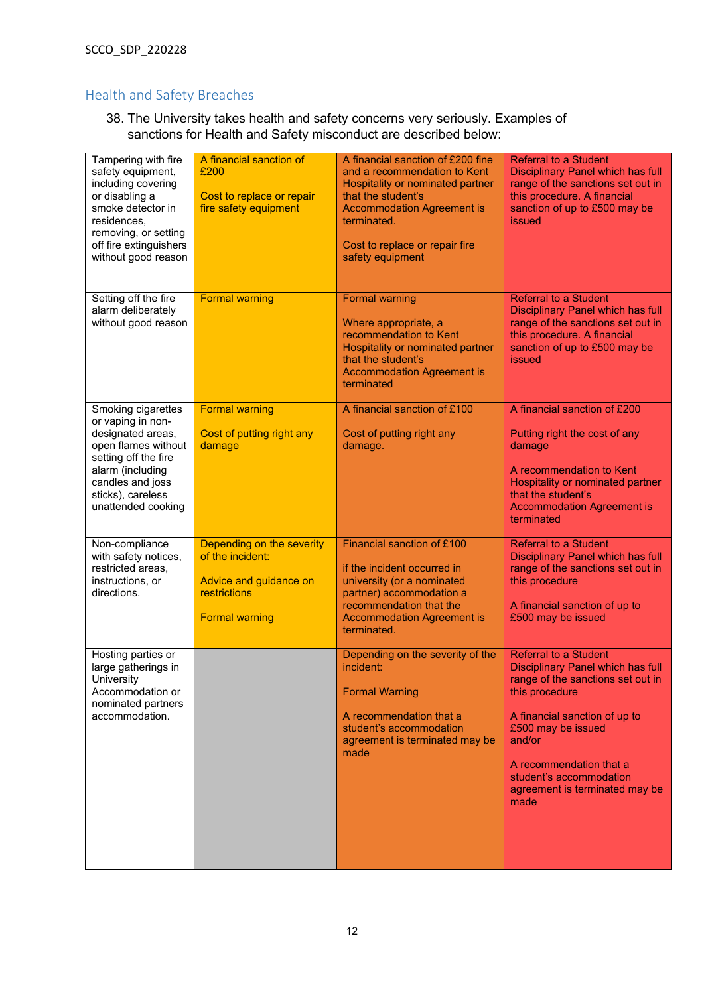## <span id="page-11-0"></span>Health and Safety Breaches

38. The University takes health and safety concerns very seriously. Examples of sanctions for Health and Safety misconduct are described below:

| Tampering with fire<br>safety equipment,<br>including covering<br>or disabling a<br>smoke detector in<br>residences,<br>removing, or setting<br>off fire extinguishers<br>without good reason  | A financial sanction of<br>£200<br>Cost to replace or repair<br>fire safety equipment                            | A financial sanction of £200 fine<br>and a recommendation to Kent<br>Hospitality or nominated partner<br>that the student's<br><b>Accommodation Agreement is</b><br>terminated.<br>Cost to replace or repair fire<br>safety equipment | <b>Referral to a Student</b><br><b>Disciplinary Panel which has full</b><br>range of the sanctions set out in<br>this procedure. A financial<br>sanction of up to £500 may be<br><i>issued</i>                                                                                                   |
|------------------------------------------------------------------------------------------------------------------------------------------------------------------------------------------------|------------------------------------------------------------------------------------------------------------------|---------------------------------------------------------------------------------------------------------------------------------------------------------------------------------------------------------------------------------------|--------------------------------------------------------------------------------------------------------------------------------------------------------------------------------------------------------------------------------------------------------------------------------------------------|
| Setting off the fire<br>alarm deliberately<br>without good reason                                                                                                                              | <b>Formal warning</b>                                                                                            | <b>Formal warning</b><br>Where appropriate, a<br>recommendation to Kent<br>Hospitality or nominated partner<br>that the student's<br><b>Accommodation Agreement is</b><br>terminated                                                  | <b>Referral to a Student</b><br><b>Disciplinary Panel which has full</b><br>range of the sanctions set out in<br>this procedure. A financial<br>sanction of up to £500 may be<br><b>issued</b>                                                                                                   |
| Smoking cigarettes<br>or vaping in non-<br>designated areas,<br>open flames without<br>setting off the fire<br>alarm (including<br>candles and joss<br>sticks), careless<br>unattended cooking | <b>Formal warning</b><br>Cost of putting right any<br>damage                                                     | A financial sanction of £100<br>Cost of putting right any<br>damage.                                                                                                                                                                  | A financial sanction of £200<br>Putting right the cost of any<br>damage<br>A recommendation to Kent<br>Hospitality or nominated partner<br>that the student's<br><b>Accommodation Agreement is</b><br>terminated                                                                                 |
| Non-compliance<br>with safety notices,<br>restricted areas,<br>instructions, or<br>directions.                                                                                                 | Depending on the severity<br>of the incident:<br>Advice and guidance on<br>restrictions<br><b>Formal warning</b> | Financial sanction of £100<br>if the incident occurred in<br>university (or a nominated<br>partner) accommodation a<br>recommendation that the<br><b>Accommodation Agreement is</b><br>terminated.                                    | <b>Referral to a Student</b><br><b>Disciplinary Panel which has full</b><br>range of the sanctions set out in<br>this procedure<br>A financial sanction of up to<br>£500 may be issued                                                                                                           |
| Hosting parties or<br>large gatherings in<br>University<br>Accommodation or<br>nominated partners<br>accommodation.                                                                            |                                                                                                                  | Depending on the severity of the<br>incident:<br><b>Formal Warning</b><br>A recommendation that a<br>student's accommodation<br>agreement is terminated may be<br>made                                                                | <b>Referral to a Student</b><br><b>Disciplinary Panel which has full</b><br>range of the sanctions set out in<br>this procedure<br>A financial sanction of up to<br>£500 may be issued<br>and/or<br>A recommendation that a<br>student's accommodation<br>agreement is terminated may be<br>made |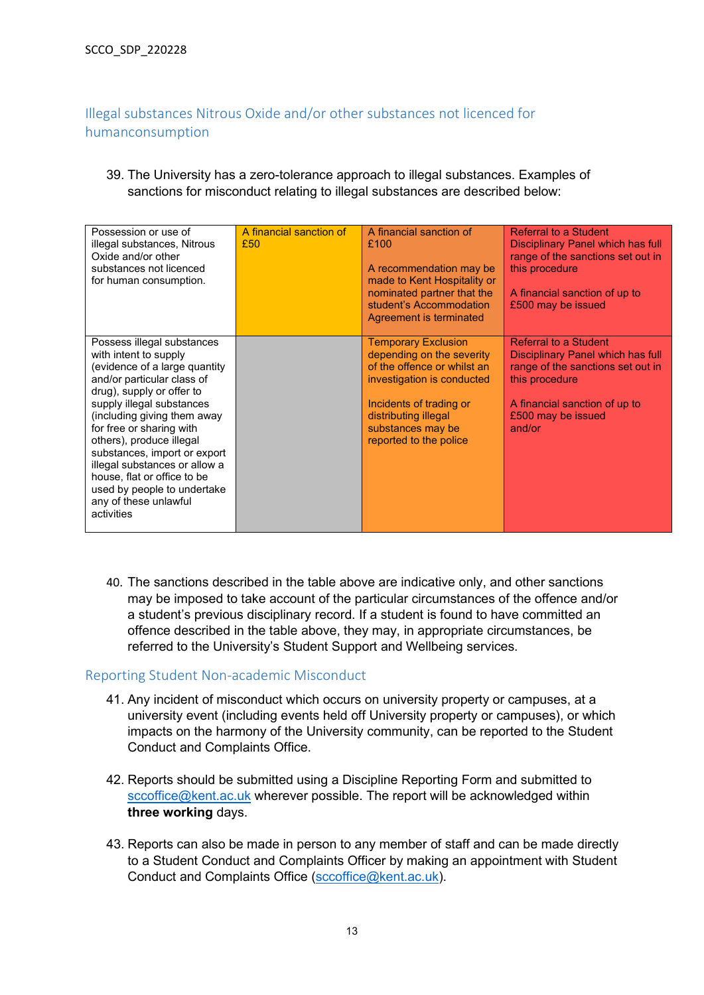# <span id="page-12-0"></span>Illegal substances Nitrous Oxide and/or other substances not licenced for humanconsumption

39. The University has a zero-tolerance approach to illegal substances. Examples of sanctions for misconduct relating to illegal substances are described below:

| Possession or use of<br>illegal substances, Nitrous<br>Oxide and/or other<br>substances not licenced<br>for human consumption.                                                                                                                                                                                                                                                                                                            | A financial sanction of<br>£50 | A financial sanction of<br>£100<br>A recommendation may be<br>made to Kent Hospitality or<br>nominated partner that the<br>student's Accommodation<br>Agreement is terminated                                          | Referral to a Student<br>Disciplinary Panel which has full<br>range of the sanctions set out in<br>this procedure<br>A financial sanction of up to<br>£500 may be issued                  |
|-------------------------------------------------------------------------------------------------------------------------------------------------------------------------------------------------------------------------------------------------------------------------------------------------------------------------------------------------------------------------------------------------------------------------------------------|--------------------------------|------------------------------------------------------------------------------------------------------------------------------------------------------------------------------------------------------------------------|-------------------------------------------------------------------------------------------------------------------------------------------------------------------------------------------|
| Possess illegal substances<br>with intent to supply<br>(evidence of a large quantity<br>and/or particular class of<br>drug), supply or offer to<br>supply illegal substances<br>(including giving them away<br>for free or sharing with<br>others), produce illegal<br>substances, import or export<br>illegal substances or allow a<br>house, flat or office to be<br>used by people to undertake<br>any of these unlawful<br>activities |                                | <b>Temporary Exclusion</b><br>depending on the severity<br>of the offence or whilst an<br>investigation is conducted<br>Incidents of trading or<br>distributing illegal<br>substances may be<br>reported to the police | <b>Referral to a Student</b><br>Disciplinary Panel which has full<br>range of the sanctions set out in<br>this procedure<br>A financial sanction of up to<br>£500 may be issued<br>and/or |

40. The sanctions described in the table above are indicative only, and other sanctions may be imposed to take account of the particular circumstances of the offence and/or a student's previous disciplinary record. If a student is found to have committed an offence described in the table above, they may, in appropriate circumstances, be referred to the University's Student Support and Wellbeing services.

#### <span id="page-12-1"></span>Reporting Student Non-academic Misconduct

- 41. Any incident of misconduct which occurs on university property or campuses, at a university event (including events held off University property or campuses), or which impacts on the harmony of the University community, can be reported to the Student Conduct and Complaints Office.
- 42. Reports should be submitted using a Discipline Reporting Form and submitted to [sccoffice@kent.ac.uk](mailto:sccoffice@kent.ac.uk) wherever possible. The report will be acknowledged within **three working** days.
- 43. Reports can also be made in person to any member of staff and can be made directly to a Student Conduct and Complaints Officer by making an appointment with Student Conduct and Complaints Office [\(sccoffice@kent.ac.uk\)](mailto:sccoffice@kent.ac.uk).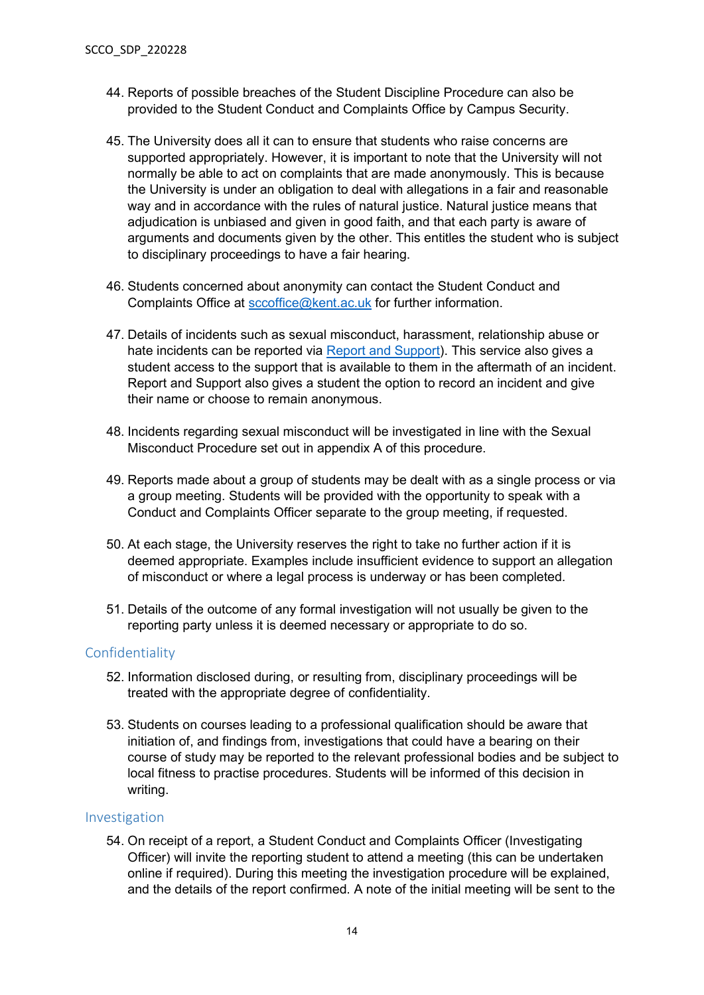- 44. Reports of possible breaches of the Student Discipline Procedure can also be provided to the Student Conduct and Complaints Office by Campus Security.
- 45. The University does all it can to ensure that students who raise concerns are supported appropriately. However, it is important to note that the University will not normally be able to act on complaints that are made anonymously. This is because the University is under an obligation to deal with allegations in a fair and reasonable way and in accordance with the rules of natural justice. Natural justice means that adjudication is unbiased and given in good faith, and that each party is aware of arguments and documents given by the other. This entitles the student who is subject to disciplinary proceedings to have a fair hearing.
- 46. Students concerned about anonymity can contact the Student Conduct and Complaints Office at [sccoffice@kent.ac.uk](mailto:sccoffice@kent.ac.uk) for further information.
- 47. Details of incidents such as sexual misconduct, harassment, relationship abuse or hate incidents can be reported via [Report and Support\)](https://ink.kent.ac.uk/). This service also gives a student access to the support that is available to them in the aftermath of an incident. Report and Support also gives a student the option to record an incident and give their name or choose to remain anonymous.
- 48. Incidents regarding sexual misconduct will be investigated in line with the Sexual Misconduct Procedure set out in appendix A of this procedure.
- 49. Reports made about a group of students may be dealt with as a single process or via a group meeting. Students will be provided with the opportunity to speak with a Conduct and Complaints Officer separate to the group meeting, if requested.
- 50. At each stage, the University reserves the right to take no further action if it is deemed appropriate. Examples include insufficient evidence to support an allegation of misconduct or where a legal process is underway or has been completed.
- 51. Details of the outcome of any formal investigation will not usually be given to the reporting party unless it is deemed necessary or appropriate to do so.

#### <span id="page-13-0"></span>Confidentiality

- 52. Information disclosed during, or resulting from, disciplinary proceedings will be treated with the appropriate degree of confidentiality.
- 53. Students on courses leading to a professional qualification should be aware that initiation of, and findings from, investigations that could have a bearing on their course of study may be reported to the relevant professional bodies and be subject to local fitness to practise procedures. Students will be informed of this decision in writing.

#### <span id="page-13-1"></span>Investigation

54. On receipt of a report, a Student Conduct and Complaints Officer (Investigating Officer) will invite the reporting student to attend a meeting (this can be undertaken online if required). During this meeting the investigation procedure will be explained, and the details of the report confirmed. A note of the initial meeting will be sent to the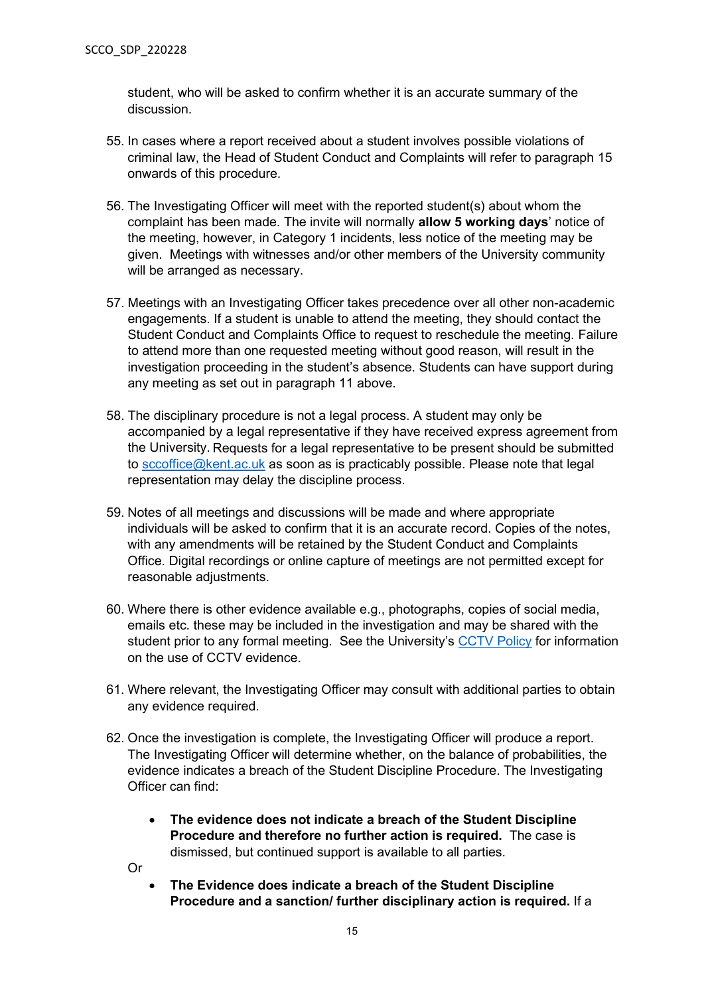student, who will be asked to confirm whether it is an accurate summary of the discussion.

- 55. In cases where a report received about a student involves possible violations of criminal law, the Head of Student Conduct and Complaints will refer to paragraph 15 onwards of this procedure.
- 56. The Investigating Officer will meet with the reported student(s) about whom the complaint has been made. The invite will normally **allow 5 working days**' notice of the meeting, however, in Category 1 incidents, less notice of the meeting may be given. Meetings with witnesses and/or other members of the University community will be arranged as necessary.
- 57. Meetings with an Investigating Officer takes precedence over all other non-academic engagements. If a student is unable to attend the meeting, they should contact the Student Conduct and Complaints Office to request to reschedule the meeting. Failure to attend more than one requested meeting without good reason, will result in the investigation proceeding in the student's absence. Students can have support during any meeting as set out in paragraph 11 above.
- 58. The disciplinary procedure is not a legal process. A student may only be accompanied by a legal representative if they have received express agreement from the University. Requests for a legal representative to be present should be submitted to [sccoffice@kent.ac.uk](mailto:sccoffice@kent.ac.uk) as soon as is practicably possible. Please note that legal representation may delay the discipline process.
- 59. Notes of all meetings and discussions will be made and where appropriate individuals will be asked to confirm that it is an accurate record. Copies of the notes, with any amendments will be retained by the Student Conduct and Complaints Office. Digital recordings or online capture of meetings are not permitted except for reasonable adjustments.
- 60. Where there is other evidence available e.g., photographs, copies of social media, emails etc. these may be included in the investigation and may be shared with the student prior to any formal meeting. See the University's [CCTV Policy](https://www.kent.ac.uk/estates/files/policies/cctv_policy.pdf) for information on the use of CCTV evidence.
- 61. Where relevant, the Investigating Officer may consult with additional parties to obtain any evidence required.
- 62. Once the investigation is complete, the Investigating Officer will produce a report. The Investigating Officer will determine whether, on the balance of probabilities, the evidence indicates a breach of the Student Discipline Procedure. The Investigating Officer can find:
	- **The evidence does not indicate a breach of the Student Discipline Procedure and therefore no further action is required.** The case is dismissed, but continued support is available to all parties.
	- Or
- **The Evidence does indicate a breach of the Student Discipline Procedure and a sanction/ further disciplinary action is required.** If a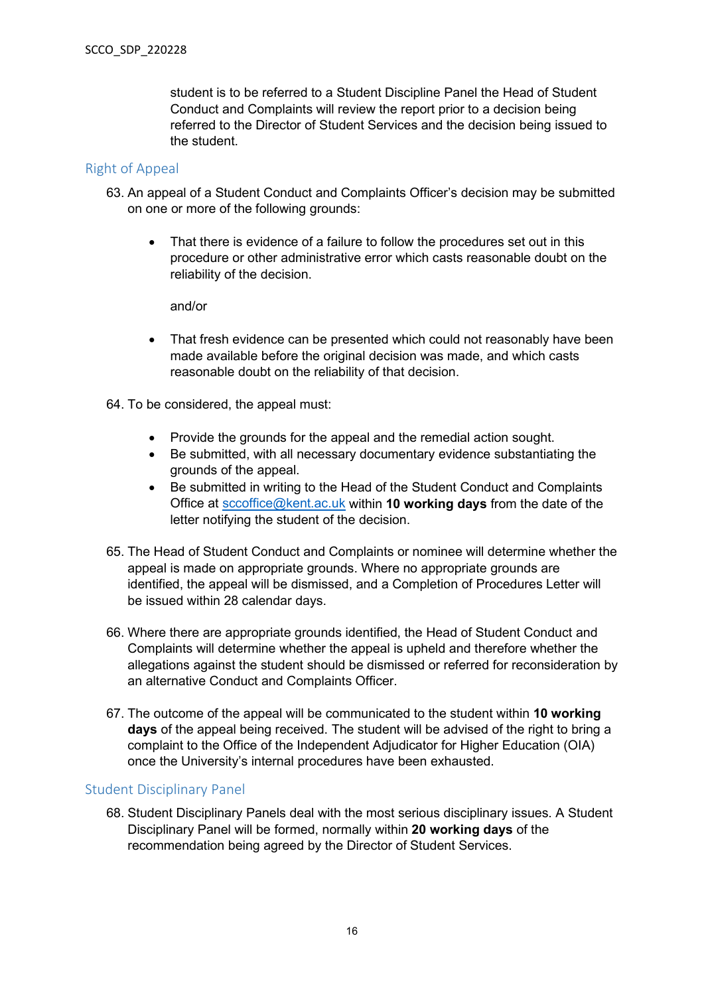student is to be referred to a Student Discipline Panel the Head of Student Conduct and Complaints will review the report prior to a decision being referred to the Director of Student Services and the decision being issued to the student.

#### <span id="page-15-0"></span>Right of Appeal

- 63. An appeal of a Student Conduct and Complaints Officer's decision may be submitted on one or more of the following grounds:
	- That there is evidence of a failure to follow the procedures set out in this procedure or other administrative error which casts reasonable doubt on the reliability of the decision.

and/or

- That fresh evidence can be presented which could not reasonably have been made available before the original decision was made, and which casts reasonable doubt on the reliability of that decision.
- 64. To be considered, the appeal must:
	- Provide the grounds for the appeal and the remedial action sought.
	- Be submitted, with all necessary documentary evidence substantiating the grounds of the appeal.
	- Be submitted in writing to the Head of the Student Conduct and Complaints Office at [sccoffice@kent.ac.uk](mailto:sccoffice@kent.ac.uk) within **10 working days** from the date of the letter notifying the student of the decision.
- 65. The Head of Student Conduct and Complaints or nominee will determine whether the appeal is made on appropriate grounds. Where no appropriate grounds are identified, the appeal will be dismissed, and a Completion of Procedures Letter will be issued within 28 calendar days.
- 66. Where there are appropriate grounds identified, the Head of Student Conduct and Complaints will determine whether the appeal is upheld and therefore whether the allegations against the student should be dismissed or referred for reconsideration by an alternative Conduct and Complaints Officer.
- 67. The outcome of the appeal will be communicated to the student within **10 working days** of the appeal being received. The student will be advised of the right to bring a complaint to the Office of the Independent Adjudicator for Higher Education (OIA) once the University's internal procedures have been exhausted.

#### <span id="page-15-1"></span>Student Disciplinary Panel

68. Student Disciplinary Panels deal with the most serious disciplinary issues. A Student Disciplinary Panel will be formed, normally within **20 working days** of the recommendation being agreed by the Director of Student Services.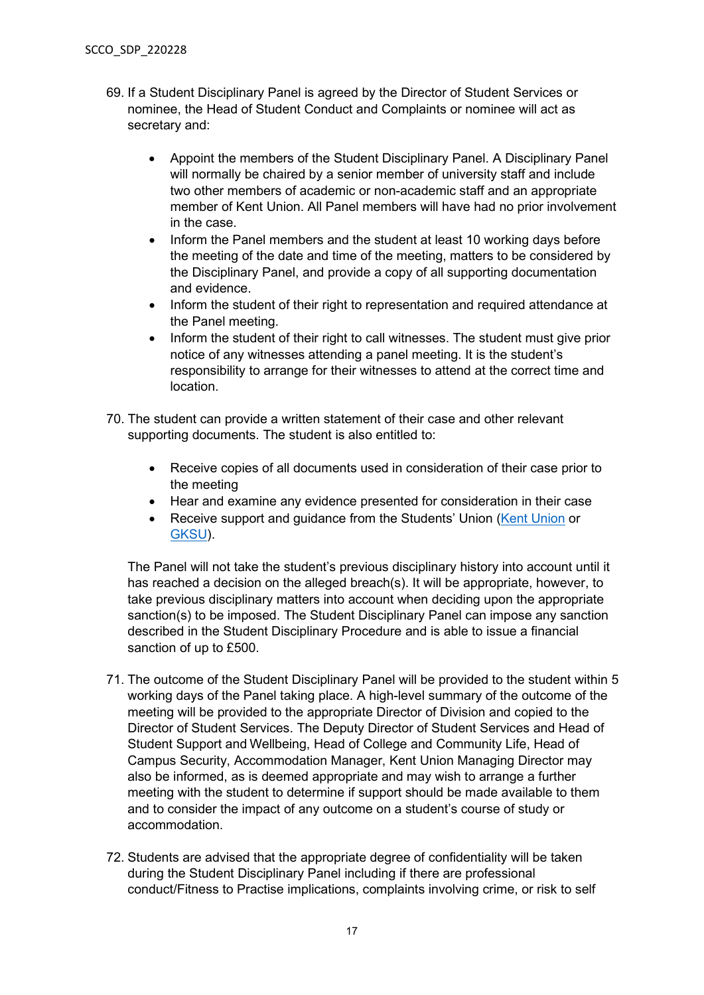- 69. If a Student Disciplinary Panel is agreed by the Director of Student Services or nominee, the Head of Student Conduct and Complaints or nominee will act as secretary and:
	- Appoint the members of the Student Disciplinary Panel. A Disciplinary Panel will normally be chaired by a senior member of university staff and include two other members of academic or non-academic staff and an appropriate member of Kent Union. All Panel members will have had no prior involvement in the case.
	- Inform the Panel members and the student at least 10 working days before the meeting of the date and time of the meeting, matters to be considered by the Disciplinary Panel, and provide a copy of all supporting documentation and evidence.
	- Inform the student of their right to representation and required attendance at the Panel meeting.
	- Inform the student of their right to call witnesses. The student must give prior notice of any witnesses attending a panel meeting. It is the student's responsibility to arrange for their witnesses to attend at the correct time and location.
- 70. The student can provide a written statement of their case and other relevant supporting documents. The student is also entitled to:
	- Receive copies of all documents used in consideration of their case prior to the meeting
	- Hear and examine any evidence presented for consideration in their case
	- Receive support and quidance from the Students' Union [\(Kent Union](http://www.kentunion.co.uk/welfare/advice) or [GKSU\)](https://gksu.co.uk/).

The Panel will not take the student's previous disciplinary history into account until it has reached a decision on the alleged breach(s). It will be appropriate, however, to take previous disciplinary matters into account when deciding upon the appropriate sanction(s) to be imposed. The Student Disciplinary Panel can impose any sanction described in the Student Disciplinary Procedure and is able to issue a financial sanction of up to £500.

- 71. The outcome of the Student Disciplinary Panel will be provided to the student within 5 working days of the Panel taking place. A high-level summary of the outcome of the meeting will be provided to the appropriate Director of Division and copied to the Director of Student Services. The Deputy Director of Student Services and Head of Student Support and Wellbeing, Head of College and Community Life, Head of Campus Security, Accommodation Manager, Kent Union Managing Director may also be informed, as is deemed appropriate and may wish to arrange a further meeting with the student to determine if support should be made available to them and to consider the impact of any outcome on a student's course of study or accommodation.
- 72. Students are advised that the appropriate degree of confidentiality will be taken during the Student Disciplinary Panel including if there are professional conduct/Fitness to Practise implications, complaints involving crime, or risk to self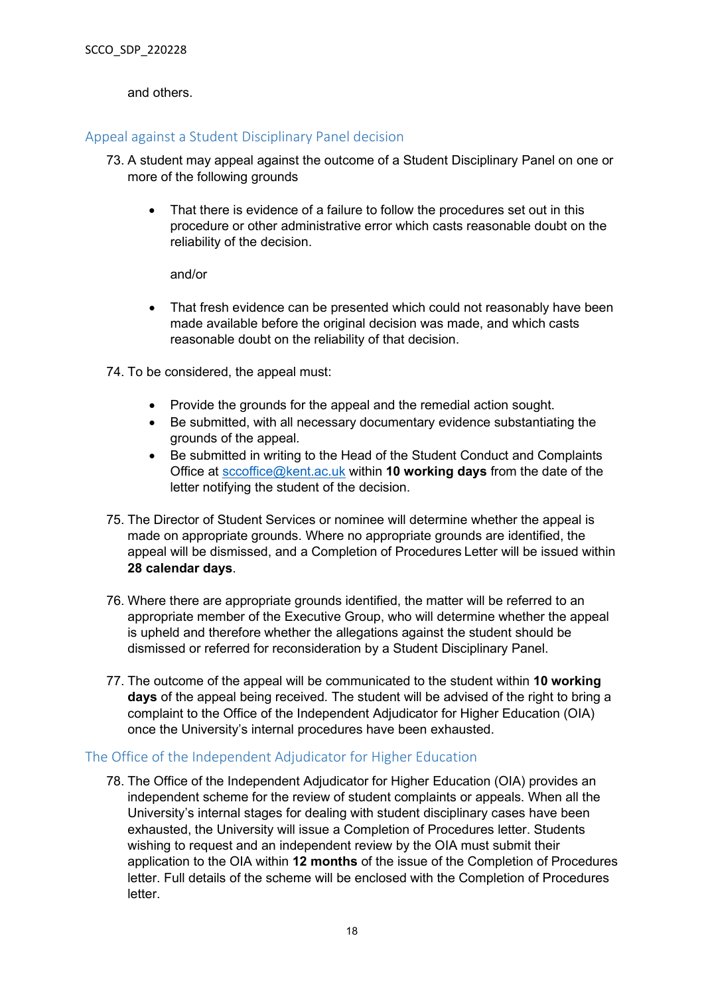and others.

#### <span id="page-17-0"></span>Appeal against a Student Disciplinary Panel decision

- 73. A student may appeal against the outcome of a Student Disciplinary Panel on one or more of the following grounds
	- That there is evidence of a failure to follow the procedures set out in this procedure or other administrative error which casts reasonable doubt on the reliability of the decision.

#### and/or

- That fresh evidence can be presented which could not reasonably have been made available before the original decision was made, and which casts reasonable doubt on the reliability of that decision.
- 74. To be considered, the appeal must:
	- Provide the grounds for the appeal and the remedial action sought.
	- Be submitted, with all necessary documentary evidence substantiating the grounds of the appeal.
	- Be submitted in writing to the Head of the Student Conduct and Complaints Office at [sccoffice@kent.ac.uk](mailto:sccoffice@kent.ac.uk) within **10 working days** from the date of the letter notifying the student of the decision.
- 75. The Director of Student Services or nominee will determine whether the appeal is made on appropriate grounds. Where no appropriate grounds are identified, the appeal will be dismissed, and a Completion of Procedures Letter will be issued within **28 calendar days**.
- 76. Where there are appropriate grounds identified, the matter will be referred to an appropriate member of the Executive Group, who will determine whether the appeal is upheld and therefore whether the allegations against the student should be dismissed or referred for reconsideration by a Student Disciplinary Panel.
- 77. The outcome of the appeal will be communicated to the student within **10 working days** of the appeal being received. The student will be advised of the right to bring a complaint to the Office of the Independent Adjudicator for Higher Education (OIA) once the University's internal procedures have been exhausted.

#### <span id="page-17-1"></span>The Office of the Independent Adjudicator for Higher Education

78. The Office of the Independent Adjudicator for Higher Education (OIA) provides an independent scheme for the review of student complaints or appeals. When all the University's internal stages for dealing with student disciplinary cases have been exhausted, the University will issue a Completion of Procedures letter. Students wishing to request and an independent review by the OIA must submit their application to the OIA within **12 months** of the issue of the Completion of Procedures letter. Full details of the scheme will be enclosed with the Completion of Procedures letter.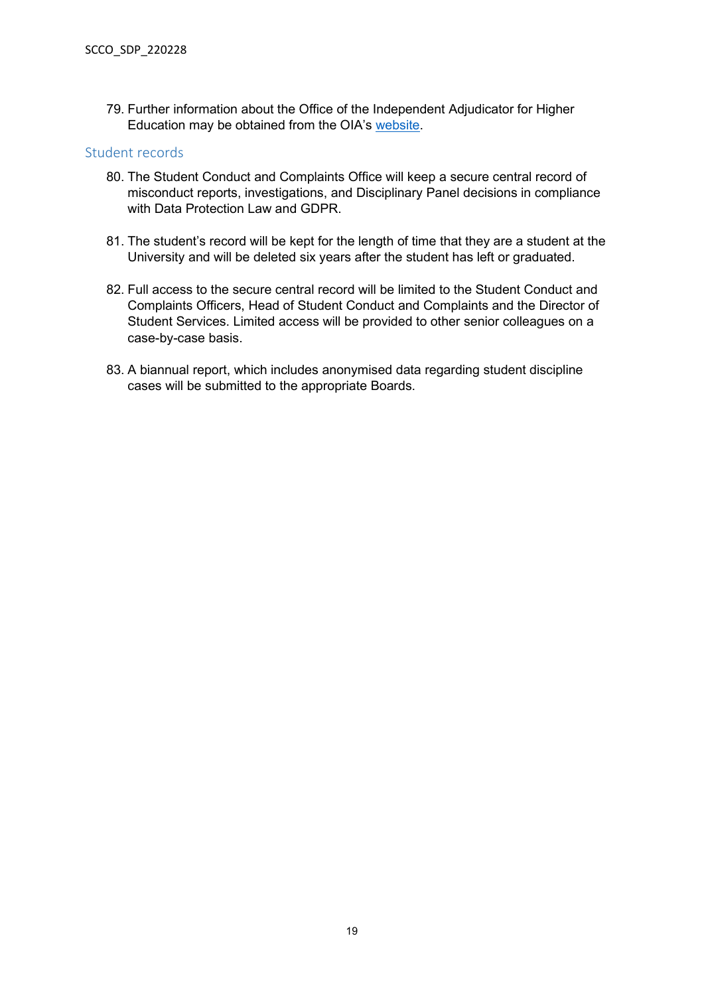79. Further information about the Office of the Independent Adjudicator for Higher Education may be obtained from the OIA's [website.](http://www.oiahe.org.uk/)

#### <span id="page-18-0"></span>Student records

- 80. The Student Conduct and Complaints Office will keep a secure central record of misconduct reports, investigations, and Disciplinary Panel decisions in compliance with Data Protection Law and GDPR.
- 81. The student's record will be kept for the length of time that they are a student at the University and will be deleted six years after the student has left or graduated.
- 82. Full access to the secure central record will be limited to the Student Conduct and Complaints Officers, Head of Student Conduct and Complaints and the Director of Student Services. Limited access will be provided to other senior colleagues on a case-by-case basis.
- 83. A biannual report, which includes anonymised data regarding student discipline cases will be submitted to the appropriate Boards.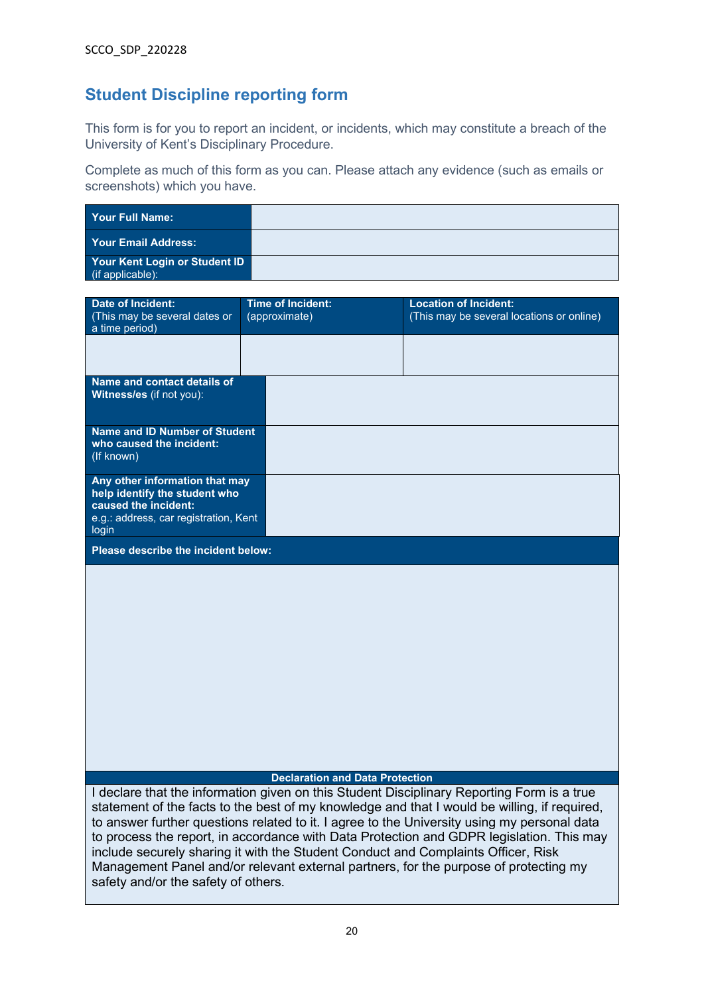# <span id="page-19-0"></span>**Student Discipline reporting form**

This form is for you to report an incident, or incidents, which may constitute a breach of the University of Kent's Disciplinary Procedure.

Complete as much of this form as you can. Please attach any evidence (such as emails or screenshots) which you have.

| Your Full Name:                                             |  |
|-------------------------------------------------------------|--|
| Your Email Address:                                         |  |
| <b>Your Kent Login or Student ID</b><br>$(i$ f applicable): |  |

| <b>Date of Incident:</b><br>(This may be several dates or                                                                                 | <b>Time of Incident:</b><br>(approximate) | <b>Location of Incident:</b><br>(This may be several locations or online)                                                                                                                                                                                                                                                                                                                                                                                            |
|-------------------------------------------------------------------------------------------------------------------------------------------|-------------------------------------------|----------------------------------------------------------------------------------------------------------------------------------------------------------------------------------------------------------------------------------------------------------------------------------------------------------------------------------------------------------------------------------------------------------------------------------------------------------------------|
| a time period)                                                                                                                            |                                           |                                                                                                                                                                                                                                                                                                                                                                                                                                                                      |
|                                                                                                                                           |                                           |                                                                                                                                                                                                                                                                                                                                                                                                                                                                      |
| Name and contact details of<br>Witness/es (if not you):                                                                                   |                                           |                                                                                                                                                                                                                                                                                                                                                                                                                                                                      |
| <b>Name and ID Number of Student</b><br>who caused the incident:<br>(If known)                                                            |                                           |                                                                                                                                                                                                                                                                                                                                                                                                                                                                      |
| Any other information that may<br>help identify the student who<br>caused the incident:<br>e.g.: address, car registration, Kent<br>login |                                           |                                                                                                                                                                                                                                                                                                                                                                                                                                                                      |
| Please describe the incident below:                                                                                                       |                                           |                                                                                                                                                                                                                                                                                                                                                                                                                                                                      |
|                                                                                                                                           |                                           |                                                                                                                                                                                                                                                                                                                                                                                                                                                                      |
|                                                                                                                                           | <b>Declaration and Data Protection</b>    | I declare that the information given on this Student Disciplinary Reporting Form is a true                                                                                                                                                                                                                                                                                                                                                                           |
| safety and/or the safety of others.                                                                                                       |                                           | statement of the facts to the best of my knowledge and that I would be willing, if required,<br>to answer further questions related to it. I agree to the University using my personal data<br>to process the report, in accordance with Data Protection and GDPR legislation. This may<br>include securely sharing it with the Student Conduct and Complaints Officer, Risk<br>Management Panel and/or relevant external partners, for the purpose of protecting my |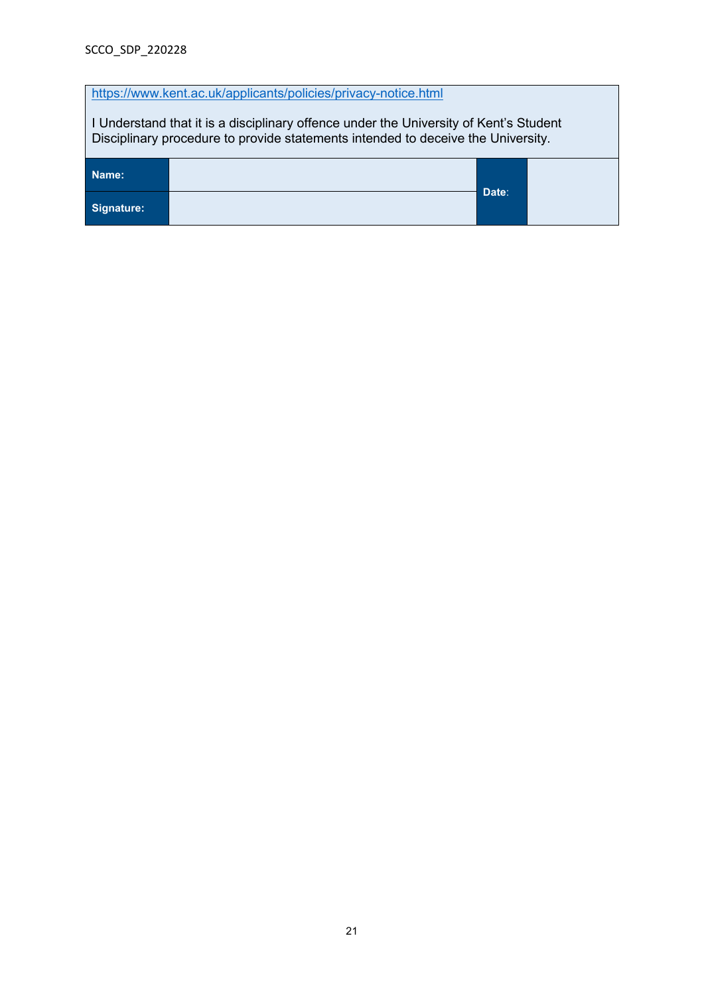| https://www.kent.ac.uk/applicants/policies/privacy-notice.html                                                                                                            |  |  |  |  |  |
|---------------------------------------------------------------------------------------------------------------------------------------------------------------------------|--|--|--|--|--|
| I Understand that it is a disciplinary offence under the University of Kent's Student<br>Disciplinary procedure to provide statements intended to deceive the University. |  |  |  |  |  |
| Name:                                                                                                                                                                     |  |  |  |  |  |
| Date:<br>Signature:                                                                                                                                                       |  |  |  |  |  |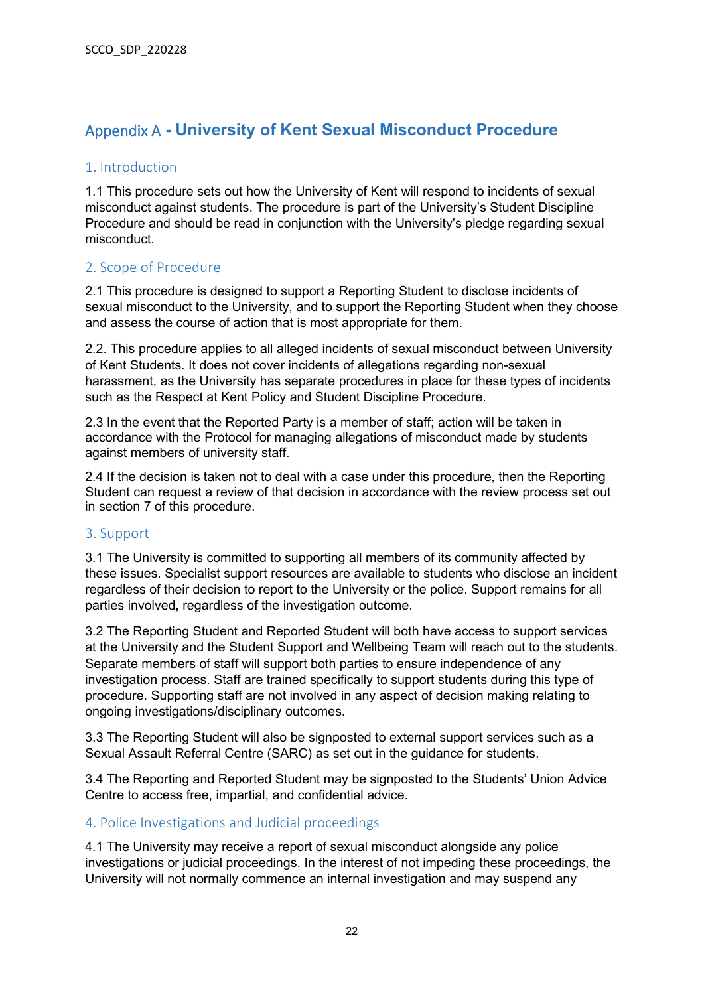# <span id="page-21-0"></span>Appendix A **- University of Kent Sexual Misconduct Procedure**

### <span id="page-21-1"></span>1. Introduction

1.1 This procedure sets out how the University of Kent will respond to incidents of sexual misconduct against students. The procedure is part of the University's Student Discipline Procedure and should be read in conjunction with the University's pledge regarding sexual misconduct.

#### <span id="page-21-2"></span>2. Scope of Procedure

2.1 This procedure is designed to support a Reporting Student to disclose incidents of sexual misconduct to the University, and to support the Reporting Student when they choose and assess the course of action that is most appropriate for them.

2.2. This procedure applies to all alleged incidents of sexual misconduct between University of Kent Students. It does not cover incidents of allegations regarding non-sexual harassment, as the University has separate procedures in place for these types of incidents such as the Respect at Kent Policy and Student Discipline Procedure.

2.3 In the event that the Reported Party is a member of staff; action will be taken in accordance with the Protocol for managing allegations of misconduct made by students against members of university staff.

2.4 If the decision is taken not to deal with a case under this procedure, then the Reporting Student can request a review of that decision in accordance with the review process set out in section 7 of this procedure.

#### <span id="page-21-3"></span>3. Support

3.1 The University is committed to supporting all members of its community affected by these issues. Specialist support resources are available to students who disclose an incident regardless of their decision to report to the University or the police. Support remains for all parties involved, regardless of the investigation outcome.

3.2 The Reporting Student and Reported Student will both have access to support services at the University and the Student Support and Wellbeing Team will reach out to the students. Separate members of staff will support both parties to ensure independence of any investigation process. Staff are trained specifically to support students during this type of procedure. Supporting staff are not involved in any aspect of decision making relating to ongoing investigations/disciplinary outcomes.

3.3 The Reporting Student will also be signposted to external support services such as a Sexual Assault Referral Centre (SARC) as set out in the guidance for students.

3.4 The Reporting and Reported Student may be signposted to the Students' Union Advice Centre to access free, impartial, and confidential advice.

#### <span id="page-21-4"></span>4. Police Investigations and Judicial proceedings

4.1 The University may receive a report of sexual misconduct alongside any police investigations or judicial proceedings. In the interest of not impeding these proceedings, the University will not normally commence an internal investigation and may suspend any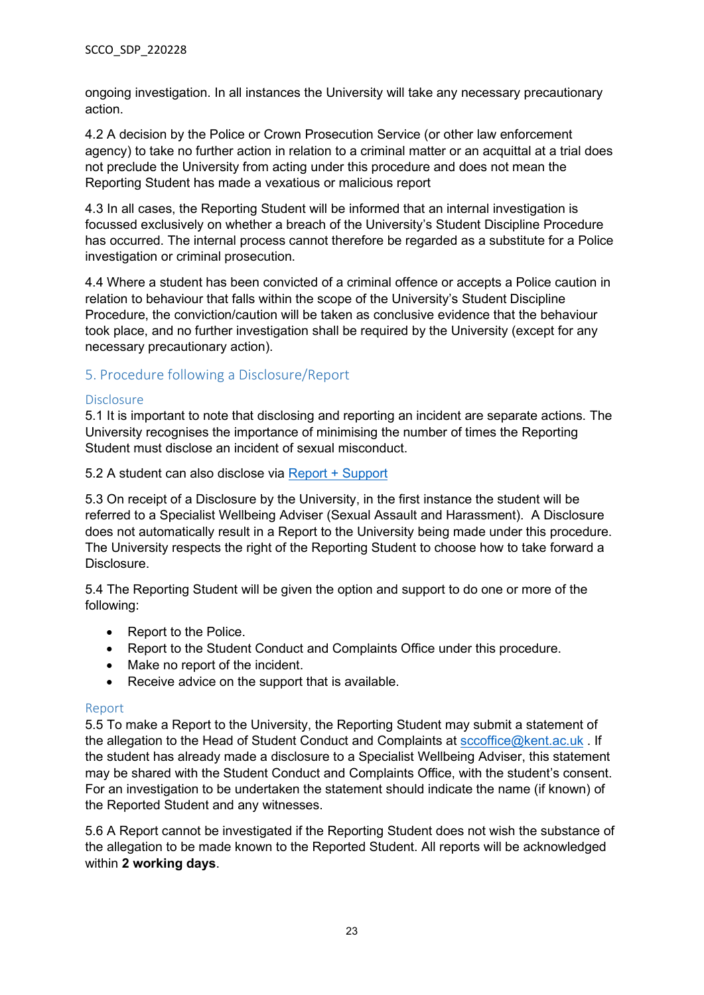ongoing investigation. In all instances the University will take any necessary precautionary action.

4.2 A decision by the Police or Crown Prosecution Service (or other law enforcement agency) to take no further action in relation to a criminal matter or an acquittal at a trial does not preclude the University from acting under this procedure and does not mean the Reporting Student has made a vexatious or malicious report

4.3 In all cases, the Reporting Student will be informed that an internal investigation is focussed exclusively on whether a breach of the University's Student Discipline Procedure has occurred. The internal process cannot therefore be regarded as a substitute for a Police investigation or criminal prosecution.

4.4 Where a student has been convicted of a criminal offence or accepts a Police caution in relation to behaviour that falls within the scope of the University's Student Discipline Procedure, the conviction/caution will be taken as conclusive evidence that the behaviour took place, and no further investigation shall be required by the University (except for any necessary precautionary action).

#### <span id="page-22-0"></span>5. Procedure following a Disclosure/Report

#### Disclosure

5.1 It is important to note that disclosing and reporting an incident are separate actions. The University recognises the importance of minimising the number of times the Reporting Student must disclose an incident of sexual misconduct.

5.2 A student can also disclose via [Report + Support](https://reportandsupport.kent.ac.uk/) 

5.3 On receipt of a Disclosure by the University, in the first instance the student will be referred to a Specialist Wellbeing Adviser (Sexual Assault and Harassment). A Disclosure does not automatically result in a Report to the University being made under this procedure. The University respects the right of the Reporting Student to choose how to take forward a Disclosure.

5.4 The Reporting Student will be given the option and support to do one or more of the following:

- Report to the Police.
- Report to the Student Conduct and Complaints Office under this procedure.
- Make no report of the incident.
- Receive advice on the support that is available.

#### Report

5.5 To make a Report to the University, the Reporting Student may submit a statement of the allegation to the Head of Student Conduct and Complaints at [sccoffice@kent.ac.uk](mailto:sccoffice@kent.ac.uk). If the student has already made a disclosure to a Specialist Wellbeing Adviser, this statement may be shared with the Student Conduct and Complaints Office, with the student's consent. For an investigation to be undertaken the statement should indicate the name (if known) of the Reported Student and any witnesses.

5.6 A Report cannot be investigated if the Reporting Student does not wish the substance of the allegation to be made known to the Reported Student. All reports will be acknowledged within **2 working days**.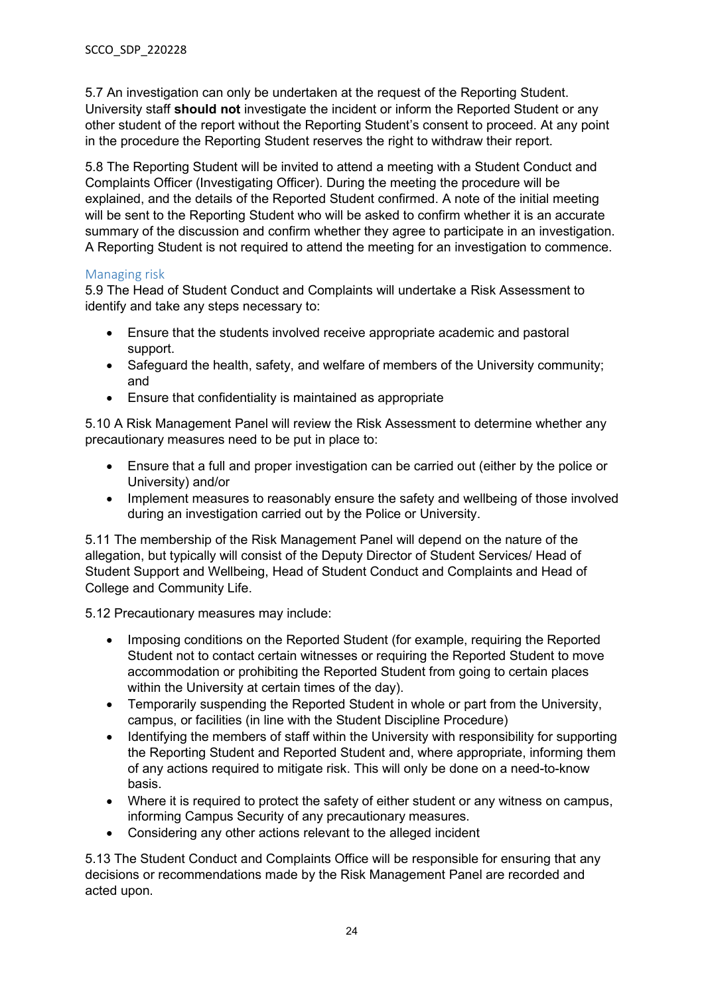5.7 An investigation can only be undertaken at the request of the Reporting Student. University staff **should not** investigate the incident or inform the Reported Student or any other student of the report without the Reporting Student's consent to proceed. At any point in the procedure the Reporting Student reserves the right to withdraw their report.

5.8 The Reporting Student will be invited to attend a meeting with a Student Conduct and Complaints Officer (Investigating Officer). During the meeting the procedure will be explained, and the details of the Reported Student confirmed. A note of the initial meeting will be sent to the Reporting Student who will be asked to confirm whether it is an accurate summary of the discussion and confirm whether they agree to participate in an investigation. A Reporting Student is not required to attend the meeting for an investigation to commence.

#### Managing risk

5.9 The Head of Student Conduct and Complaints will undertake a Risk Assessment to identify and take any steps necessary to:

- Ensure that the students involved receive appropriate academic and pastoral support.
- Safeguard the health, safety, and welfare of members of the University community; and
- Ensure that confidentiality is maintained as appropriate

5.10 A Risk Management Panel will review the Risk Assessment to determine whether any precautionary measures need to be put in place to:

- Ensure that a full and proper investigation can be carried out (either by the police or University) and/or
- Implement measures to reasonably ensure the safety and wellbeing of those involved during an investigation carried out by the Police or University.

5.11 The membership of the Risk Management Panel will depend on the nature of the allegation, but typically will consist of the Deputy Director of Student Services/ Head of Student Support and Wellbeing, Head of Student Conduct and Complaints and Head of College and Community Life.

5.12 Precautionary measures may include:

- Imposing conditions on the Reported Student (for example, requiring the Reported Student not to contact certain witnesses or requiring the Reported Student to move accommodation or prohibiting the Reported Student from going to certain places within the University at certain times of the day).
- Temporarily suspending the Reported Student in whole or part from the University, campus, or facilities (in line with the Student Discipline Procedure)
- Identifying the members of staff within the University with responsibility for supporting the Reporting Student and Reported Student and, where appropriate, informing them of any actions required to mitigate risk. This will only be done on a need-to-know basis.
- Where it is required to protect the safety of either student or any witness on campus, informing Campus Security of any precautionary measures.
- Considering any other actions relevant to the alleged incident

5.13 The Student Conduct and Complaints Office will be responsible for ensuring that any decisions or recommendations made by the Risk Management Panel are recorded and acted upon.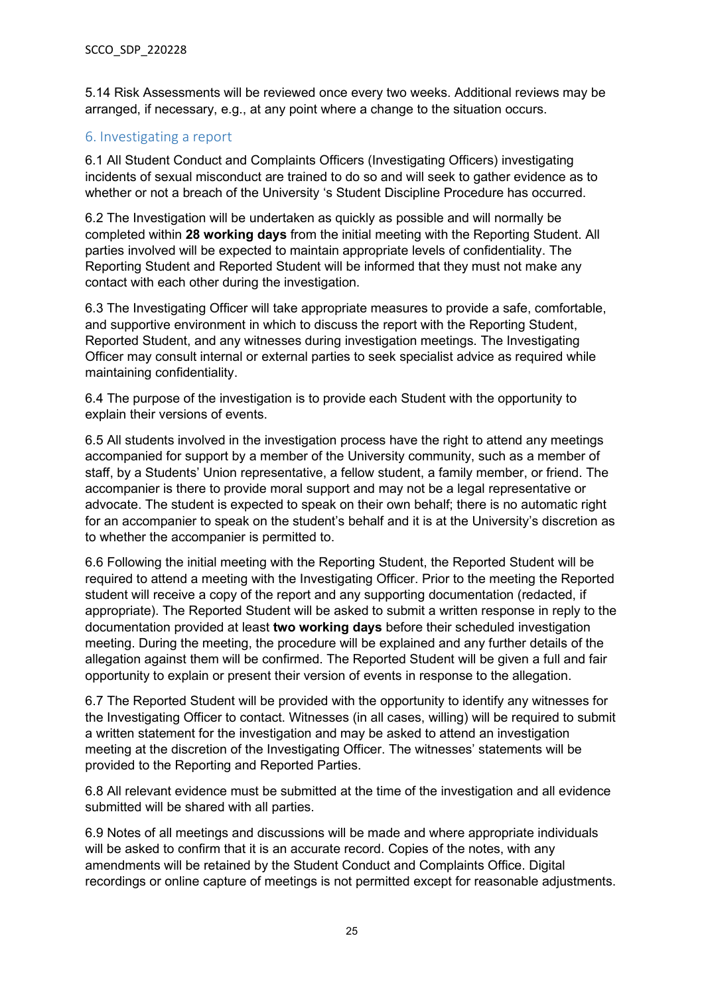5.14 Risk Assessments will be reviewed once every two weeks. Additional reviews may be arranged, if necessary, e.g., at any point where a change to the situation occurs.

## <span id="page-24-0"></span>6. Investigating a report

6.1 All Student Conduct and Complaints Officers (Investigating Officers) investigating incidents of sexual misconduct are trained to do so and will seek to gather evidence as to whether or not a breach of the University 's Student Discipline Procedure has occurred.

6.2 The Investigation will be undertaken as quickly as possible and will normally be completed within **28 working days** from the initial meeting with the Reporting Student. All parties involved will be expected to maintain appropriate levels of confidentiality. The Reporting Student and Reported Student will be informed that they must not make any contact with each other during the investigation.

6.3 The Investigating Officer will take appropriate measures to provide a safe, comfortable, and supportive environment in which to discuss the report with the Reporting Student, Reported Student, and any witnesses during investigation meetings. The Investigating Officer may consult internal or external parties to seek specialist advice as required while maintaining confidentiality.

6.4 The purpose of the investigation is to provide each Student with the opportunity to explain their versions of events.

6.5 All students involved in the investigation process have the right to attend any meetings accompanied for support by a member of the University community, such as a member of staff, by a Students' Union representative, a fellow student, a family member, or friend. The accompanier is there to provide moral support and may not be a legal representative or advocate. The student is expected to speak on their own behalf; there is no automatic right for an accompanier to speak on the student's behalf and it is at the University's discretion as to whether the accompanier is permitted to.

6.6 Following the initial meeting with the Reporting Student, the Reported Student will be required to attend a meeting with the Investigating Officer. Prior to the meeting the Reported student will receive a copy of the report and any supporting documentation (redacted, if appropriate). The Reported Student will be asked to submit a written response in reply to the documentation provided at least **two working days** before their scheduled investigation meeting. During the meeting, the procedure will be explained and any further details of the allegation against them will be confirmed. The Reported Student will be given a full and fair opportunity to explain or present their version of events in response to the allegation.

6.7 The Reported Student will be provided with the opportunity to identify any witnesses for the Investigating Officer to contact. Witnesses (in all cases, willing) will be required to submit a written statement for the investigation and may be asked to attend an investigation meeting at the discretion of the Investigating Officer. The witnesses' statements will be provided to the Reporting and Reported Parties.

6.8 All relevant evidence must be submitted at the time of the investigation and all evidence submitted will be shared with all parties.

6.9 Notes of all meetings and discussions will be made and where appropriate individuals will be asked to confirm that it is an accurate record. Copies of the notes, with any amendments will be retained by the Student Conduct and Complaints Office. Digital recordings or online capture of meetings is not permitted except for reasonable adjustments.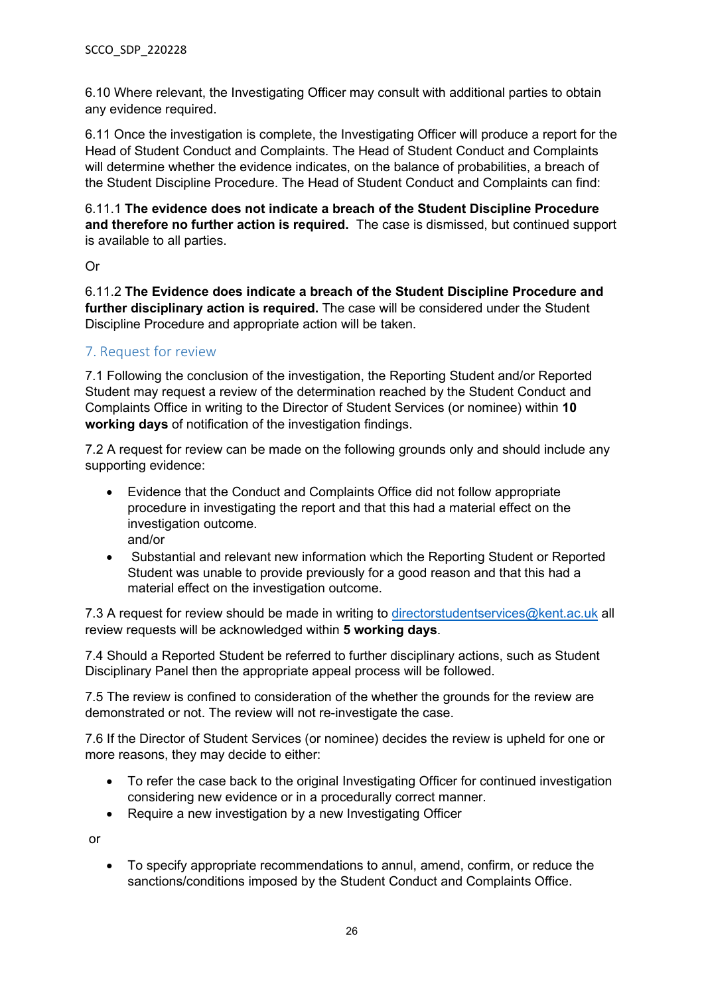6.10 Where relevant, the Investigating Officer may consult with additional parties to obtain any evidence required.

6.11 Once the investigation is complete, the Investigating Officer will produce a report for the Head of Student Conduct and Complaints. The Head of Student Conduct and Complaints will determine whether the evidence indicates, on the balance of probabilities, a breach of the Student Discipline Procedure. The Head of Student Conduct and Complaints can find:

6.11.1 **The evidence does not indicate a breach of the Student Discipline Procedure and therefore no further action is required.** The case is dismissed, but continued support is available to all parties.

Or

6.11.2 **The Evidence does indicate a breach of the Student Discipline Procedure and further disciplinary action is required.** The case will be considered under the Student Discipline Procedure and appropriate action will be taken.

## <span id="page-25-0"></span>7. Request for review

7.1 Following the conclusion of the investigation, the Reporting Student and/or Reported Student may request a review of the determination reached by the Student Conduct and Complaints Office in writing to the Director of Student Services (or nominee) within **10 working days** of notification of the investigation findings.

7.2 A request for review can be made on the following grounds only and should include any supporting evidence:

- Evidence that the Conduct and Complaints Office did not follow appropriate procedure in investigating the report and that this had a material effect on the investigation outcome. and/or
- Substantial and relevant new information which the Reporting Student or Reported Student was unable to provide previously for a good reason and that this had a material effect on the investigation outcome.

7.3 A request for review should be made in writing to [directorstudentservices@kent.ac.uk](mailto:directorstudentservices@kent.ac.uk) all review requests will be acknowledged within **5 working days**.

7.4 Should a Reported Student be referred to further disciplinary actions, such as Student Disciplinary Panel then the appropriate appeal process will be followed.

7.5 The review is confined to consideration of the whether the grounds for the review are demonstrated or not. The review will not re-investigate the case.

7.6 If the Director of Student Services (or nominee) decides the review is upheld for one or more reasons, they may decide to either:

- To refer the case back to the original Investigating Officer for continued investigation considering new evidence or in a procedurally correct manner.
- Require a new investigation by a new Investigating Officer

or

• To specify appropriate recommendations to annul, amend, confirm, or reduce the sanctions/conditions imposed by the Student Conduct and Complaints Office.